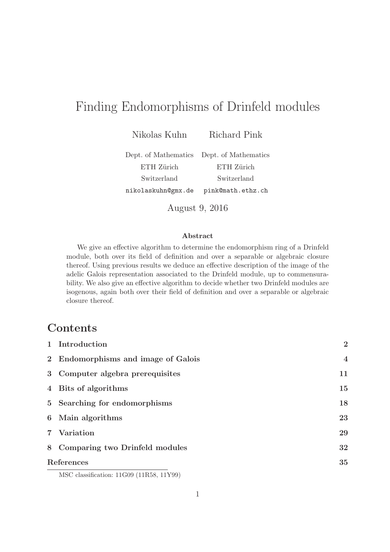# Finding Endomorphisms of Drinfeld modules

Nikolas Kuhn Richard Pink

Dept. of Mathematics Dept. of Mathematics ETH Zürich ETH Zürich Switzerland Switzerland nikolaskuhn@gmx.de pink@math.ethz.ch

August 9, 2016

#### Abstract

We give an effective algorithm to determine the endomorphism ring of a Drinfeld module, both over its field of definition and over a separable or algebraic closure thereof. Using previous results we deduce an effective description of the image of the adelic Galois representation associated to the Drinfeld module, up to commensurability. We also give an effective algorithm to decide whether two Drinfeld modules are isogenous, again both over their field of definition and over a separable or algebraic closure thereof.

# Contents

| 1 Introduction                              | $\overline{2}$ |
|---------------------------------------------|----------------|
| 2 Endomorphisms and image of Galois         | $\overline{4}$ |
| 3 Computer algebra prerequisites            | 11             |
| 4 Bits of algorithms                        | 15             |
| 5 Searching for endomorphisms               | 18             |
| 6 Main algorithms                           | 23             |
| 7 Variation                                 | 29             |
| 8 Comparing two Drinfeld modules            | 32             |
| References                                  |                |
| $MCA$ 1 $C$ $P$ 11 $C$ 00 $(11DE0 - 11XCO)$ |                |

MSC classification: 11G09 (11R58, 11Y99)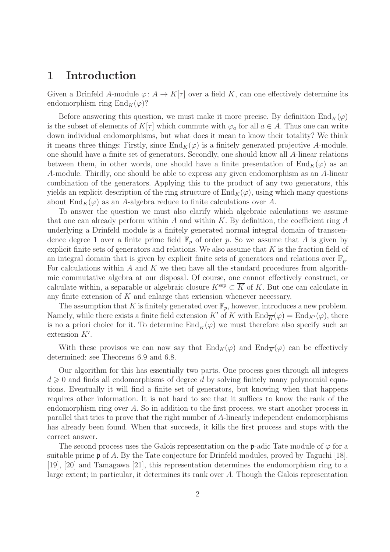### 1 Introduction

Given a Drinfeld A-module  $\varphi: A \to K[\tau]$  over a field K, can one effectively determine its endomorphism ring  $\text{End}_K(\varphi)$ ?

Before answering this question, we must make it more precise. By definition  $\text{End}_K(\varphi)$ is the subset of elements of  $K[\tau]$  which commute with  $\varphi_a$  for all  $a \in A$ . Thus one can write down individual endomorphisms, but what does it mean to know their totality? We think it means three things: Firstly, since  $\text{End}_K(\varphi)$  is a finitely generated projective A-module, one should have a finite set of generators. Secondly, one should know all A-linear relations between them, in other words, one should have a finite presentation of  $\text{End}_K(\varphi)$  as an A-module. Thirdly, one should be able to express any given endomorphism as an A-linear combination of the generators. Applying this to the product of any two generators, this yields an explicit description of the ring structure of  $\text{End}_K(\varphi)$ , using which many questions about  $\text{End}_K(\varphi)$  as an A-algebra reduce to finite calculations over A.

To answer the question we must also clarify which algebraic calculations we assume that one can already perform within A and within K. By definition, the coefficient ring  $A$ underlying a Drinfeld module is a finitely generated normal integral domain of transcendence degree 1 over a finite prime field  $\mathbb{F}_p$  of order p. So we assume that A is given by explicit finite sets of generators and relations. We also assume that  $K$  is the fraction field of an integral domain that is given by explicit finite sets of generators and relations over  $\mathbb{F}_p$ . For calculations within  $A$  and  $K$  we then have all the standard procedures from algorithmic commutative algebra at our disposal. Of course, one cannot effectively construct, or calculate within, a separable or algebraic closure  $K^{\text{sep}} \subset \overline{K}$  of K. But one can calculate in any finite extension of  $K$  and enlarge that extension whenever necessary.

The assumption that K is finitely generated over  $\mathbb{F}_p$ , however, introduces a new problem. Namely, while there exists a finite field extension K' of K with  $\text{End}_{\overline{K}}(\varphi) = \text{End}_{K'}(\varphi)$ , there is no a priori choice for it. To determine  $\text{End}_{\overline{K}}(\varphi)$  we must therefore also specify such an extension  $K'$ .

With these provisos we can now say that  $\text{End}_K(\varphi)$  and  $\text{End}_{\overline{K}}(\varphi)$  can be effectively determined: see Theorems 6.9 and 6.8.

Our algorithm for this has essentially two parts. One process goes through all integers  $d \geq 0$  and finds all endomorphisms of degree d by solving finitely many polynomial equations. Eventually it will find a finite set of generators, but knowing when that happens requires other information. It is not hard to see that it suffices to know the rank of the endomorphism ring over A. So in addition to the first process, we start another process in parallel that tries to prove that the right number of A-linearly independent endomorphisms has already been found. When that succeeds, it kills the first process and stops with the correct answer.

The second process uses the Galois representation on the p-adic Tate module of  $\varphi$  for a suitable prime  $\mathfrak p$  of A. By the Tate conjecture for Drinfeld modules, proved by Taguchi [18], [19], [20] and Tamagawa [21], this representation determines the endomorphism ring to a large extent; in particular, it determines its rank over A. Though the Galois representation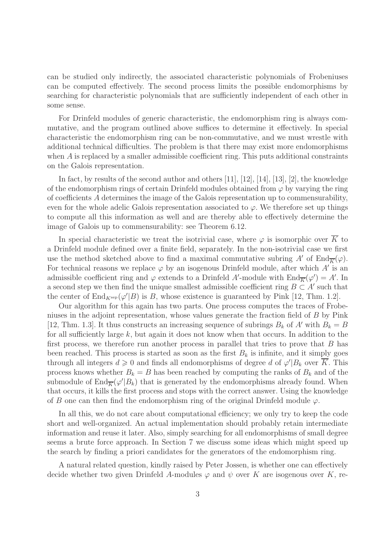can be studied only indirectly, the associated characteristic polynomials of Frobeniuses can be computed effectively. The second process limits the possible endomorphisms by searching for characteristic polynomials that are sufficiently independent of each other in some sense.

For Drinfeld modules of generic characteristic, the endomorphism ring is always commutative, and the program outlined above suffices to determine it effectively. In special characteristic the endomorphism ring can be non-commutative, and we must wrestle with additional technical difficulties. The problem is that there may exist more endomorphisms when  $A$  is replaced by a smaller admissible coefficient ring. This puts additional constraints on the Galois representation.

In fact, by results of the second author and others [11], [12], [14], [13], [2], the knowledge of the endomorphism rings of certain Drinfeld modules obtained from  $\varphi$  by varying the ring of coefficients A determines the image of the Galois representation up to commensurability, even for the whole adelic Galois representation associated to  $\varphi$ . We therefore set up things to compute all this information as well and are thereby able to effectively determine the image of Galois up to commensurability: see Theorem 6.12.

In special characteristic we treat the isotrivial case, where  $\varphi$  is isomorphic over  $\overline{K}$  to a Drinfeld module defined over a finite field, separately. In the non-isotrivial case we first use the method sketched above to find a maximal commutative subring A' of  $\text{End}_{\overline{K}}(\varphi)$ . For technical reasons we replace  $\varphi$  by an isogenous Drinfeld module, after which  $A'$  is an admissible coefficient ring and  $\varphi$  extends to a Drinfeld A'-module with  $\text{End}_{\overline{K}}(\varphi') = A'$ . In a second step we then find the unique smallest admissible coefficient ring  $B \subset A'$  such that the center of  $\text{End}_{K^{\text{sep}}}(\varphi'|B)$  is B, whose existence is guaranteed by Pink [12, Thm. 1.2].

Our algorithm for this again has two parts. One process computes the traces of Frobeniuses in the adjoint representation, whose values generate the fraction field of B by Pink [12, Thm. 1.3]. It thus constructs an increasing sequence of subrings  $B_k$  of A' with  $B_k = B$ for all sufficiently large  $k$ , but again it does not know when that occurs. In addition to the first process, we therefore run another process in parallel that tries to prove that  $B$  has been reached. This process is started as soon as the first  $B_k$  is infinite, and it simply goes through all integers  $d \geq 0$  and finds all endomorphisms of degree d of  $\varphi'|B_k$  over  $\overline{K}$ . This process knows whether  $B_k = B$  has been reached by computing the ranks of  $B_k$  and of the submodule of  $\text{End}_{\overline{K}}(\varphi'|B_k)$  that is generated by the endomorphisms already found. When that occurs, it kills the first process and stops with the correct answer. Using the knowledge of B one can then find the endomorphism ring of the original Drinfeld module  $\varphi$ .

In all this, we do not care about computational efficiency; we only try to keep the code short and well-organized. An actual implementation should probably retain intermediate information and reuse it later. Also, simply searching for all endomorphisms of small degree seems a brute force approach. In Section 7 we discuss some ideas which might speed up the search by finding a priori candidates for the generators of the endomorphism ring.

A natural related question, kindly raised by Peter Jossen, is whether one can effectively decide whether two given Drinfeld A-modules  $\varphi$  and  $\psi$  over K are isogenous over K, re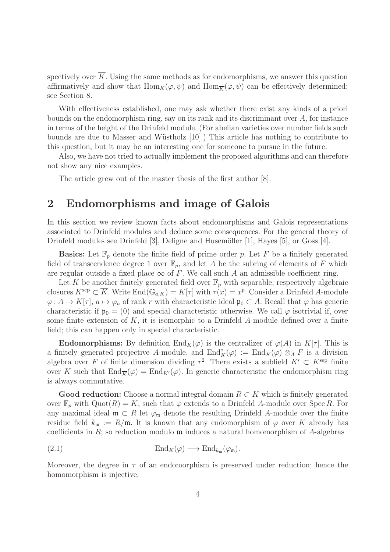spectively over  $\overline{K}$ . Using the same methods as for endomorphisms, we answer this question affirmatively and show that  $\text{Hom}_K(\varphi, \psi)$  and  $\text{Hom}_{\overline{K}}(\varphi, \psi)$  can be effectively determined: see Section 8.

With effectiveness established, one may ask whether there exist any kinds of a priori bounds on the endomorphism ring, say on its rank and its discriminant over  $A$ , for instance in terms of the height of the Drinfeld module. (For abelian varieties over number fields such bounds are due to Masser and Wüstholz [10].) This article has nothing to contribute to this question, but it may be an interesting one for someone to pursue in the future.

Also, we have not tried to actually implement the proposed algorithms and can therefore not show any nice examples.

The article grew out of the master thesis of the first author [8].

## 2 Endomorphisms and image of Galois

In this section we review known facts about endomorphisms and Galois representations associated to Drinfeld modules and deduce some consequences. For the general theory of Drinfeld modules see Drinfeld [3], Deligne and Husemöller [1], Hayes [5], or Goss [4].

**Basics:** Let  $\mathbb{F}_p$  denote the finite field of prime order p. Let F be a finitely generated field of transcendence degree 1 over  $\mathbb{F}_p$ , and let A be the subring of elements of F which are regular outside a fixed place  $\infty$  of F. We call such A an admissible coefficient ring.

Let K be another finitely generated field over  $\mathbb{F}_p$  with separable, respectively algebraic closures  $K^{\text{sep}} \subset \overline{K}$ . Write  $\text{End}(\mathbb{G}_{a,K}) = K[\tau]$  with  $\tau(x) = x^p$ . Consider a Drinfeld A-module  $\varphi: A \to K[\tau], a \mapsto \varphi_a$  of rank r with characteristic ideal  $\mathfrak{p}_0 \subset A$ . Recall that  $\varphi$  has generic characteristic if  $\mathfrak{p}_0 = (0)$  and special characteristic otherwise. We call  $\varphi$  isotrivial if, over some finite extension of  $K$ , it is isomorphic to a Drinfeld A-module defined over a finite field; this can happen only in special characteristic.

**Endomorphisms:** By definition  $\text{End}_K(\varphi)$  is the centralizer of  $\varphi(A)$  in  $K[\tau]$ . This is a finitely generated projective A-module, and  $\text{End}_{K}^{\circ}(\varphi) := \text{End}_{K}(\varphi) \otimes_{A} F$  is a division algebra over F of finite dimension dividing  $r^2$ . There exists a subfield  $K' \subset K^{\text{sep}}$  finite over K such that  $\text{End}_{\overline{K}}(\varphi) = \text{End}_{K'}(\varphi)$ . In generic characteristic the endomorphism ring is always commutative.

Good reduction: Choose a normal integral domain  $R \subset K$  which is finitely generated over  $\mathbb{F}_p$  with  $\mathrm{Quot}(R) = K$ , such that  $\varphi$  extends to a Drinfeld A-module over Spec R. For any maximal ideal  $\mathfrak{m} \subset R$  let  $\varphi_{\mathfrak{m}}$  denote the resulting Drinfeld A-module over the finite residue field  $k_{\mathfrak{m}} := R/\mathfrak{m}$ . It is known that any endomorphism of  $\varphi$  over K already has coefficients in  $R$ ; so reduction modulo  $\mathfrak m$  induces a natural homomorphism of A-algebras

$$
\operatorname{End}_K(\varphi) \longrightarrow \operatorname{End}_{k_{\mathfrak{m}}}(\varphi_{\mathfrak{m}}).
$$

Moreover, the degree in  $\tau$  of an endomorphism is preserved under reduction; hence the homomorphism is injective.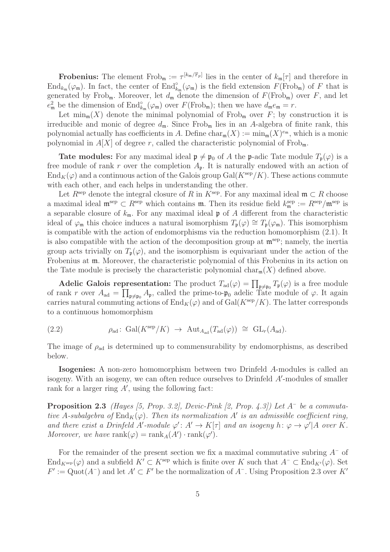**Frobenius:** The element  $Frob_m := \tau^{[k_m/\mathbb{F}_p]}$  lies in the center of  $k_m[\tau]$  and therefore in  $\text{End}_{k_{\mathfrak{m}}}(\varphi_{\mathfrak{m}})$ . In fact, the center of  $\text{End}_{k_{\mathfrak{m}}}^{\circ}(\varphi_{\mathfrak{m}})$  is the field extension  $F(\text{Frob}_{\mathfrak{m}})$  of  $F$  that is generated by Frob<sub>m</sub>. Moreover, let  $d_m$  denote the dimension of  $F(\text{Frob}_m)$  over F, and let  $e_{\mathfrak{m}}^2$  be the dimension of  $\text{End}_{k_{\mathfrak{m}}}^{\circ}(\varphi_{\mathfrak{m}})$  over  $F(\text{Frob}_{\mathfrak{m}})$ ; then we have  $d_{\mathfrak{m}}e_{\mathfrak{m}}=r$ .

Let  $\min_{m}(X)$  denote the minimal polynomial of Frob<sub>m</sub> over F; by construction it is irreducible and monic of degree  $d_{\mathfrak{m}}$ . Since  $Frob_{\mathfrak{m}}$  lies in an A-algebra of finite rank, this polynomial actually has coefficients in A. Define  $char_{\mathfrak{m}}(X) := min_{\mathfrak{m}}(X)^{e_{\mathfrak{m}}}$ , which is a monic polynomial in  $A[X]$  of degree r, called the characteristic polynomial of  $Frob_m$ .

**Tate modules:** For any maximal ideal  $\mathfrak{p} \neq \mathfrak{p}_0$  of A the p-adic Tate module  $T_p(\varphi)$  is a free module of rank r over the completion  $A_{\mathfrak{p}}$ . It is naturally endowed with an action of  $\text{End}_K(\varphi)$  and a continuous action of the Galois group Gal( $K^{\text{sep}}/K$ ). These actions commute with each other, and each helps in understanding the other.

Let  $R^{\text{sep}}$  denote the integral closure of R in  $K^{\text{sep}}$ . For any maximal ideal  $\mathfrak{m} \subset R$  choose a maximal ideal  $\mathfrak{m}^{\text{sep}} \subset R^{\text{sep}}$  which contains  $\mathfrak{m}$ . Then its residue field  $k^{\text{sep}}_{\mathfrak{m}} := R^{\text{sep}}/\mathfrak{m}^{\text{sep}}$  is a separable closure of  $k_{\mathfrak{m}}$ . For any maximal ideal  $\mathfrak p$  of A different from the characteristic ideal of  $\varphi_m$  this choice induces a natural isomorphism  $T_p(\varphi) \cong T_p(\varphi_m)$ . This isomorphism is compatible with the action of endomorphisms via the reduction homomorphism (2.1). It is also compatible with the action of the decomposition group at  $\mathfrak{m}^{\text{sep}}$ ; namely, the inertia group acts trivially on  $T_{\mathfrak{p}}(\varphi)$ , and the isomorphism is equivariant under the action of the Frobenius at m. Moreover, the characteristic polynomial of this Frobenius in its action on the Tate module is precisely the characteristic polynomial charm $(X)$  defined above.

Adelic Galois representation: The product  $T_{ad}(\varphi) = \prod_{\mathfrak{p} \neq \mathfrak{p}_0} T_{\mathfrak{p}}(\varphi)$  is a free module of rank r over  $A_{ad} = \prod_{\mathfrak{p} \neq \mathfrak{p}_0} A_{\mathfrak{p}}$ , called the prime-to- $\mathfrak{p}_0$  adelic Tate module of  $\varphi$ . It again carries natural commuting actions of  $\text{End}_K(\varphi)$  and of  $\text{Gal}(K^{\text{sep}}/K)$ . The latter corresponds to a continuous homomorphism

(2.2) 
$$
\rho_{\text{ad}} \colon \text{Gal}(K^{\text{sep}}/K) \to \text{Aut}_{A_{\text{ad}}}(T_{\text{ad}}(\varphi)) \cong \text{GL}_r(A_{\text{ad}}).
$$

The image of  $\rho_{ad}$  is determined up to commensurability by endomorphisms, as described below.

Isogenies: A non-zero homomorphism between two Drinfeld A-modules is called an isogeny. With an isogeny, we can often reduce ourselves to Drinfeld A'-modules of smaller rank for a larger ring  $A'$ , using the following fact:

**Proposition 2.3** (Hayes [5, Prop. 3.2], Devic-Pink [2, Prop. 4.3]) Let  $A^-$  be a commutative A-subalgebra of  $\text{End}_K(\varphi)$ . Then its normalization A' is an admissible coefficient ring, and there exist a Drinfeld A'-module  $\varphi' : A' \to K[\tau]$  and an isogeny  $h : \varphi \to \varphi' | A$  over K. Moreover, we have  $\text{rank}(\varphi) = \text{rank}_A(A') \cdot \text{rank}(\varphi')$ .

For the remainder of the present section we fix a maximal commutative subring  $A^-$  of  $\text{End}_{K^{\text{sep}}}(\varphi)$  and a subfield  $K' \subset K^{\text{sep}}$  which is finite over K such that  $A^- \subset \text{End}_{K'}(\varphi)$ . Set  $F' := \text{Quot}(A^-)$  and let  $A' \subset F'$  be the normalization of  $A^-$ . Using Proposition 2.3 over K'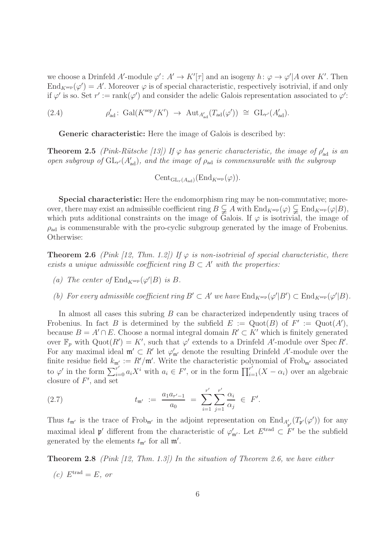we choose a Drinfeld A'-module  $\varphi' : A' \to K'[\tau]$  and an isogeny  $h : \varphi \to \varphi' | A$  over K'. Then  $\text{End}_{K^{\text{sep}}}(\varphi') = A'$ . Moreover  $\varphi$  is of special characteristic, respectively isotrivial, if and only if  $\varphi'$  is so. Set  $r' := \text{rank}(\varphi')$  and consider the adelic Galois representation associated to  $\varphi'$ :

(2.4) 
$$
\rho'_{\text{ad}}: \text{ Gal}(K^{\text{sep}}/K') \rightarrow \text{Aut}_{A'_{\text{ad}}}(T_{\text{ad}}(\varphi')) \cong \text{GL}_{r'}(A'_{\text{ad}}).
$$

Generic characteristic: Here the image of Galois is described by:

**Theorem 2.5** (Pink-Rütsche [13]) If  $\varphi$  has generic characteristic, the image of  $\rho'_{ad}$  is an open subgroup of  $GL_{r'}(A'_{ad})$ , and the image of  $\rho_{ad}$  is commensurable with the subgroup

$$
\text{Cent}_{\text{GL}_r(A_{\text{ad}})}(\text{End}_{K^{\text{sep}}}(\varphi)).
$$

Special characteristic: Here the endomorphism ring may be non-commutative; moreover, there may exist an admissible coefficient ring  $B \subsetneq A$  with  $\text{End}_{K^{\text{sep}}}(\varphi) \subsetneq \text{End}_{K^{\text{sep}}}(\varphi|B)$ , which puts additional constraints on the image of Galois. If  $\varphi$  is isotrivial, the image of  $\rho_{\rm ad}$  is commensurable with the pro-cyclic subgroup generated by the image of Frobenius. Otherwise:

**Theorem 2.6** (Pink [12, Thm. 1.2]) If  $\varphi$  is non-isotrivial of special characteristic, there exists a unique admissible coefficient ring  $B \subset A'$  with the properties:

- (a) The center of  $\text{End}_{K^{\text{sep}}}(\varphi'|B)$  is B.
- (b) For every admissible coefficient ring  $B' \subset A'$  we have  $\text{End}_{K^{\text{sep}}}(\varphi'|B') \subset \text{End}_{K^{\text{sep}}}(\varphi'|B)$ .

In almost all cases this subring B can be characterized independently using traces of Frobenius. In fact B is determined by the subfield  $E := \text{Quot}(B)$  of  $F' := \text{Quot}(A'),$ because  $B = A' \cap E$ . Choose a normal integral domain  $R' \subset K'$  which is finitely generated over  $\mathbb{F}_p$  with  $\mathrm{Quot}(R') = K'$ , such that  $\varphi'$  extends to a Drinfeld A'-module over Spec R'. For any maximal ideal  $\mathfrak{m}' \subset R'$  let  $\varphi'_{\mathfrak{m}'}$  denote the resulting Drinfeld A'-module over the finite residue field  $k_{m'} := R'/m'$ . Write the characteristic polynomial of Frob<sub>m'</sub> associated to  $\varphi'$  in the form  $\sum_{i=0}^{r'} a_i X^i$  with  $a_i \in F'$ , or in the form  $\prod_{i=1}^{r'} (X - \alpha_i)$  over an algebraic closure of  $F'$ , and set

(2.7) 
$$
t_{\mathfrak{m}'} := \frac{a_1 a_{r'-1}}{a_0} = \sum_{i=1}^{r'} \sum_{j=1}^{r'} \frac{\alpha_i}{\alpha_j} \in F'.
$$

Thus  $t_{\mathfrak{m}'}$  is the trace of Frob<sub>m'</sub> in the adjoint representation on  $\text{End}_{A'_{\mathfrak{p}'}}(T_{\mathfrak{p}'}(\varphi'))$  for any maximal ideal  $\mathfrak{p}'$  different from the characteristic of  $\varphi'_{\mathfrak{m}'}$ . Let  $E^{\text{trad}} \subset F'$  be the subfield generated by the elements  $t_{\mathfrak{m}'}$  for all  $\mathfrak{m}'$ .

**Theorem 2.8** (Pink [12, Thm. 1.3]) In the situation of Theorem 2.6, we have either

 $(c)$   $E$ <sup>trad</sup> = E, or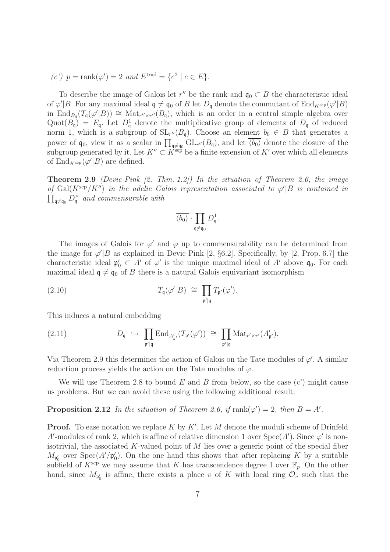(c')  $p = \text{rank}(\varphi') = 2$  and  $E^{\text{trad}} = \{e^2 \mid e \in E\}.$ 

To describe the image of Galois let  $r''$  be the rank and  $\mathfrak{q}_0 \subset B$  the characteristic ideal of  $\varphi'|B$ . For any maximal ideal  $\mathfrak{q} \neq \mathfrak{q}_0$  of B let  $D_{\mathfrak{q}}$  denote the commutant of  $\text{End}_{K^{\text{sep}}}(\varphi'|B)$ in End<sub>Bq</sub>(T<sub>q</sub>( $\varphi'$ |B))  $\cong$  Mat<sub>r''×r</sub>''( $B$ <sub>q</sub>), which is an order in a central simple algebra over Quot $(B_q) = E_q$ . Let  $D_q^1$  denote the multiplicative group of elements of  $D_q$  of reduced norm 1, which is a subgroup of  $SL_{r''}(B_{\mathfrak{q}})$ . Choose an element  $b_0 \in B$  that generates a power of  $\mathfrak{q}_0$ , view it as a scalar in  $\prod_{\mathfrak{q}\neq\mathfrak{q}_0} GL_{r''}(B_{\mathfrak{q}})$ , and let  $\overline{\langle b_0 \rangle}$  denote the closure of the subgroup generated by it. Let  $K'' \subset K^{\text{sep}}$  be a finite extension of  $K'$  over which all elements of  $\text{End}_{K^{\text{sep}}}(\varphi'|B)$  are defined.

**Theorem 2.9** (Devic-Pink [2, Thm. 1.2]) In the situation of Theorem 2.6, the image of Gal(K<sup>sep</sup>/K'') in the adelic Galois representation associated to  $\varphi' |B$  is contained in  $\prod_{\mathfrak{q}\neq\mathfrak{q}_0} D_{\mathfrak{q}}^{\times}$  and commensurable with

$$
\overline{\langle b_0\rangle}\cdot \prod_{{\mathfrak{q}}\neq {\mathfrak{q}}_0}D_{\mathfrak{q}}^1.
$$

The images of Galois for  $\varphi'$  and  $\varphi$  up to commensurability can be determined from the image for  $\varphi' | B$  as explained in Devic-Pink [2, §6.2]. Specifically, by [2, Prop. 6.7] the characteristic ideal  $\mathfrak{p}'_0 \subset A'$  of  $\varphi'$  is the unique maximal ideal of A' above  $\mathfrak{q}_0$ . For each maximal ideal  $q \neq q_0$  of B there is a natural Galois equivariant isomorphism

(2.10) 
$$
T_{\mathfrak{q}}(\varphi'|B) \cong \prod_{\mathfrak{p}'|\mathfrak{q}} T_{\mathfrak{p}'}(\varphi').
$$

This induces a natural embedding

(2.11) 
$$
D_{\mathfrak{q}} \hookrightarrow \prod_{\mathfrak{p}'|\mathfrak{q}} \text{End}_{A'_{\mathfrak{p}'}}(T_{\mathfrak{p}'}(\varphi')) \cong \prod_{\mathfrak{p}'|\mathfrak{q}} \text{Mat}_{r' \times r'}(A'_{\mathfrak{p}'}).
$$

Via Theorem 2.9 this determines the action of Galois on the Tate modules of  $\varphi'$ . A similar reduction process yields the action on the Tate modules of  $\varphi$ .

We will use Theorem 2.8 to bound E and B from below, so the case  $(c')$  might cause us problems. But we can avoid these using the following additional result:

**Proposition 2.12** In the situation of Theorem 2.6, if  $\text{rank}(\varphi') = 2$ , then  $B = A'$ .

**Proof.** To ease notation we replace  $K$  by  $K'$ . Let  $M$  denote the moduli scheme of Drinfeld A'-modules of rank 2, which is affine of relative dimension 1 over  $Spec(A')$ . Since  $\varphi'$  is nonisotrivial, the associated K-valued point of  $M$  lies over a generic point of the special fiber  $M_{\mathfrak{p}'_0}$  over  $Spec(A'/\mathfrak{p}'_0)$ . On the one hand this shows that after replacing K by a suitable subfield of  $K^{\text{sep}}$  we may assume that K has transcendence degree 1 over  $\mathbb{F}_p$ . On the other hand, since  $M_{\mathfrak{p}'_0}$  is affine, there exists a place v of K with local ring  $\mathcal{O}_v$  such that the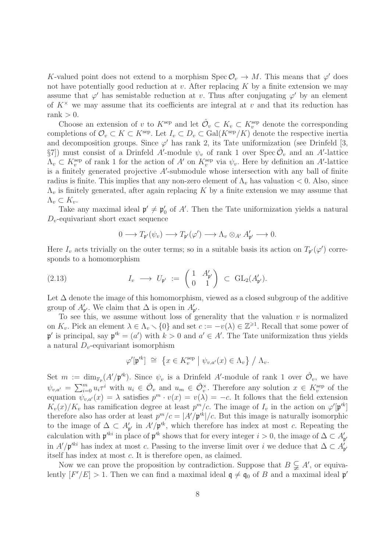K-valued point does not extend to a morphism Spec  $\mathcal{O}_v \to M$ . This means that  $\varphi'$  does not have potentially good reduction at v. After replacing  $K$  by a finite extension we may assume that  $\varphi'$  has semistable reduction at v. Thus after conjugating  $\varphi'$  by an element of  $K^{\times}$  we may assume that its coefficients are integral at v and that its reduction has rank  $> 0$ .

Choose an extension of v to  $K^{\text{sep}}$  and let  $\hat{\mathcal{O}}_v \subset K_v \subset K_v^{\text{sep}}$  denote the corresponding completions of  $\mathcal{O}_v \subset K \subset K^{\text{sep}}$ . Let  $I_v \subset D_v \subset \text{Gal}(K^{\text{sep}}/K)$  denote the respective inertia and decomposition groups. Since  $\varphi'$  has rank 2, its Tate uniformization (see Drinfeld [3, §7]) must consist of a Drinfeld A'-module  $\psi_v$  of rank 1 over Spec  $\hat{\mathcal{O}}_v$  and an A'-lattice  $\Lambda_v \subset K_v^{\text{sep}}$  of rank 1 for the action of A' on  $K_v^{\text{sep}}$  via  $\psi_v$ . Here by definition an A'-lattice is a finitely generated projective  $A'$ -submodule whose intersection with any ball of finite radius is finite. This implies that any non-zero element of  $\Lambda_v$  has valuation  $< 0$ . Also, since  $\Lambda_v$  is finitely generated, after again replacing K by a finite extension we may assume that  $\Lambda_v \subset K_v$ .

Take any maximal ideal  $\mathfrak{p}' \neq \mathfrak{p}'_0$  of A'. Then the Tate uniformization yields a natural  $D_v$ -equivariant short exact sequence

$$
0 \longrightarrow T_{\mathfrak{p}'}(\psi_v) \longrightarrow T_{\mathfrak{p}'}(\varphi') \longrightarrow \Lambda_v \otimes_{A'} A'_{\mathfrak{p}'} \longrightarrow 0.
$$

Here  $I_v$  acts trivially on the outer terms; so in a suitable basis its action on  $T_{\mathfrak{p}'}(\varphi')$  corresponds to a homomorphism

(2.13) 
$$
I_v \longrightarrow U_{\mathfrak{p}'} := \begin{pmatrix} 1 & A'_{\mathfrak{p}'} \\ 0 & 1 \end{pmatrix} \subset GL_2(A'_{\mathfrak{p}'}).
$$

Let  $\Delta$  denote the image of this homomorphism, viewed as a closed subgroup of the additive group of  $A'_{\mathfrak{p}'}$ . We claim that  $\Delta$  is open in  $A'_{\mathfrak{p}'}$ .

To see this, we assume without loss of generality that the valuation  $v$  is normalized on  $K_v$ . Pick an element  $\lambda \in \Lambda_v \setminus \{0\}$  and set  $c := -v(\lambda) \in \mathbb{Z}^{\geq 1}$ . Recall that some power of  $\mathfrak{p}'$  is principal, say  $\mathfrak{p}'^k = (a')$  with  $k > 0$  and  $a' \in A'$ . The Tate uniformization thus yields a natural  $D_v$ -equivariant isomorphism

$$
\varphi'[\mathfrak{p}'^k] \;\cong\; \left\{x\in K_v^{\rm sep} \bigm| \psi_{v,a'}(x)\in \Lambda_v\right\}\bigm/ \Lambda_v.
$$

Set  $m := \dim_{\mathbb{F}_p}(A'/\mathfrak{p}'^k)$ . Since  $\psi_v$  is a Drinfeld A'-module of rank 1 over  $\hat{\mathcal{O}}_v$ , we have  $\psi_{v,a'} = \sum_{i=0}^m u_i \tau^i$  with  $u_i \in \hat{\mathcal{O}}_v$  and  $u_m \in \hat{\mathcal{O}}_v^{\times}$ . Therefore any solution  $x \in K_v^{\text{sep}}$  of the equation  $\psi_{v,a'}(x) = \lambda$  satisfies  $p^m \cdot v(x) = v(\lambda) = -c$ . It follows that the field extension  $K_v(x)/K_v$  has ramification degree at least  $p^m/c$ . The image of  $I_v$  in the action on  $\varphi'[\mathfrak{p}'^k]$ therefore also has order at least  $p^m/c = |A'/p'^k|/c$ . But this image is naturally isomorphic to the image of  $\Delta \subset A'_{p'}$  in  $A'/p'^k$ , which therefore has index at most c. Repeating the calculation with  $\mathfrak{p}'^{ki}$  in place of  $\mathfrak{p}'^k$  shows that for every integer  $i > 0$ , the image of  $\Delta \subset A'_{\mathfrak{p}'}$ in  $A'/\mathfrak{p}'^{ki}$  has index at most c. Passing to the inverse limit over i we deduce that  $\Delta \subset A'_{\mathfrak{p}'}$ itself has index at most c. It is therefore open, as claimed.

Now we can prove the proposition by contradiction. Suppose that  $B \subsetneq A'$ , or equivalently  $[F'/E] > 1$ . Then we can find a maximal ideal  $\mathfrak{q} \neq \mathfrak{q}_0$  of B and a maximal ideal  $\mathfrak{p}'$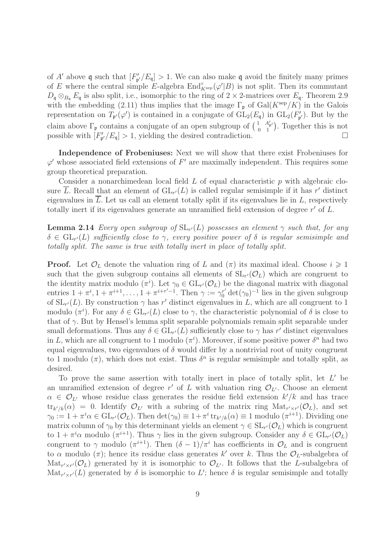of A' above q such that  $[F'_{p'}/E_q] > 1$ . We can also make q avoid the finitely many primes of E where the central simple E-algebra  $\text{End}_{K^{\text{sep}}}^{\circ}(\varphi'|B)$  is not split. Then its commutant  $D_{\mathfrak{q}} \otimes_{B_{\mathfrak{q}}} E_{\mathfrak{q}}$  is also split, i.e., isomorphic to the ring of  $2 \times 2$ -matrices over  $E_{\mathfrak{q}}$ . Theorem 2.9 with the embedding (2.11) thus implies that the image  $\Gamma_{\mathfrak{p}}$  of Gal( $K^{\text{sep}}/K$ ) in the Galois representation on  $T_{\mathfrak{p}'}(\varphi')$  is contained in a conjugate of  $GL_2(E_{\mathfrak{q}})$  in  $GL_2(F'_{\mathfrak{p}'})$ . But by the claim above  $\Gamma_{\mathfrak{p}}$  contains a conjugate of an open subgroup of  $\begin{pmatrix} 1 & A'_{\mathfrak{p}} \\ 0 & 1 \end{pmatrix}$  $\begin{pmatrix} 1 & A'_{\mathfrak{p}'} \\ 0 & 1 \end{pmatrix}$ . Together this is not possible with  $[F'_{\mathfrak{p'}}/E_{\mathfrak{q}}] > 1$ , yielding the desired contradiction.

Independence of Frobeniuses: Next we will show that there exist Frobeniuses for  $\varphi'$  whose associated field extensions of  $F'$  are maximally independent. This requires some group theoretical preparation.

Consider a nonarchimedean local field  $L$  of equal characteristic  $p$  with algebraic closure  $\overline{L}$ . Recall that an element of  $GL_{r'}(L)$  is called regular semisimple if it has r' distinct eigenvalues in  $\overline{L}$ . Let us call an element totally split if its eigenvalues lie in  $L$ , respectively totally inert if its eigenvalues generate an unramified field extension of degree  $r'$  of  $L$ .

**Lemma 2.14** Every open subgroup of  $SL_{r'}(L)$  possesses an element  $\gamma$  such that, for any  $\delta\,\in\, \mathrm{GL}_{r'}(L)$  sufficiently close to  $\gamma,$  every positive power of  $\delta$  is regular semisimple and totally split. The same is true with totally inert in place of totally split.

**Proof.** Let  $\mathcal{O}_L$  denote the valuation ring of L and  $(\pi)$  its maximal ideal. Choose  $i \geq 1$ such that the given subgroup contains all elements of  $SL_{r'}(\mathcal{O}_L)$  which are congruent to the identity matrix modulo  $(\pi^i)$ . Let  $\gamma_0 \in GL_{r'}(\mathcal{O}_L)$  be the diagonal matrix with diagonal entries  $1 + \pi^{i}, 1 + \pi^{i+1}, \ldots, 1 + \pi^{i+r'-1}$ . Then  $\gamma := \gamma_0^{r'} \det(\gamma_0)^{-1}$  lies in the given subgroup of  $SL_{r'}(L)$ . By construction  $\gamma$  has r' distinct eigenvalues in L, which are all congruent to 1 modulo  $(\pi^i)$ . For any  $\delta \in GL_{r'}(L)$  close to  $\gamma$ , the characteristic polynomial of  $\delta$  is close to that of  $\gamma$ . But by Hensel's lemma split separable polynomials remain split separable under small deformations. Thus any  $\delta \in GL_{r'}(L)$  sufficiently close to  $\gamma$  has r' distinct eigenvalues in L, which are all congruent to 1 modulo  $(\pi^i)$ . Moreover, if some positive power  $\delta^n$  had two equal eigenvalues, two eigenvalues of  $\delta$  would differ by a nontrivial root of unity congruent to 1 modulo  $(\pi)$ , which does not exist. Thus  $\delta^n$  is regular semisimple and totally split, as desired.

To prove the same assertion with totally inert in place of totally split, let  $L'$  be an unramified extension of degree  $r'$  of L with valuation ring  $\mathcal{O}_{L'}$ . Choose an element  $\alpha \in \mathcal{O}_{L'}$  whose residue class generates the residue field extension  $k'/k$  and has trace  $\text{tr}_{k'/k}(\alpha) = 0$ . Identify  $\mathcal{O}_{L'}$  with a subring of the matrix ring  $\text{Mat}_{r' \times r'}(\mathcal{O}_L)$ , and set  $\gamma_0 := 1 + \pi^i \alpha \in GL_{r'}(\mathcal{O}_L)$ . Then  $\det(\gamma_0) \equiv 1 + \pi^i \operatorname{tr}_{k'/k}(\alpha) \equiv 1 \text{ modulo } (\pi^{i+1})$ . Dividing one matrix column of  $\gamma_0$  by this determinant yields an element  $\gamma \in SL_{r'}(\mathcal{O}_L)$  which is congruent to  $1 + \pi^i \alpha$  modulo  $(\pi^{i+1})$ . Thus  $\gamma$  lies in the given subgroup. Consider any  $\delta \in GL_{r'}(\mathcal{O}_L)$ congruent to  $\gamma$  modulo  $(\pi^{i+1})$ . Then  $(\delta - 1)/\pi^i$  has coefficients in  $\mathcal{O}_L$  and is congruent to  $\alpha$  modulo  $(\pi)$ ; hence its residue class generates k' over k. Thus the  $\mathcal{O}_L$ -subalgebra of  $\text{Mat}_{r' \times r'}(\mathcal{O}_L)$  generated by it is isomorphic to  $\mathcal{O}_{L'}$ . It follows that the L-subalgebra of Mat<sub>r'xr'</sub>(L) generated by  $\delta$  is isomorphic to L'; hence  $\delta$  is regular semisimple and totally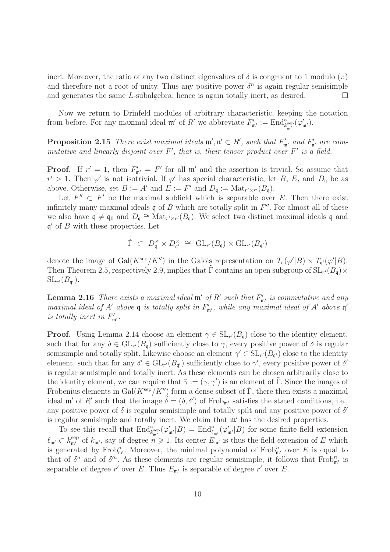inert. Moreover, the ratio of any two distinct eigenvalues of  $\delta$  is congruent to 1 modulo  $(\pi)$ and therefore not a root of unity. Thus any positive power  $\delta^n$  is again regular semisimple and generates the same L-subalgebra, hence is again totally inert, as desired.  $\square$ 

Now we return to Drinfeld modules of arbitrary characteristic, keeping the notation from before. For any maximal ideal  $\mathfrak{m}'$  of  $R'$  we abbreviate  $F'_{\mathfrak{m}'} := \text{End}_{k^{\text{sep}}_{\mathfrak{m}'}}^{\circ}(\varphi'_{\mathfrak{m}'})$ .

**Proposition 2.15** There exist maximal ideals  $\mathfrak{m}', \mathfrak{n}' \subset R'$ , such that  $F'_{\mathfrak{m}'}$  and  $F'_{\mathfrak{n}'}$  are commutative and linearly disjoint over  $F'$ , that is, their tensor product over  $F'$  is a field.

**Proof.** If  $r' = 1$ , then  $F'_{m'} = F'$  for all  $m'$  and the assertion is trivial. So assume that  $r' > 1$ . Then  $\varphi'$  is not isotrivial. If  $\varphi'$  has special characteristic, let B, E, and  $D_{\mathfrak{q}}$  be as above. Otherwise, set  $B := A'$  and  $E := F'$  and  $D_{\mathfrak{q}} := \text{Mat}_{r' \times r'}(B_{\mathfrak{q}})$ .

Let  $F'' \subset F'$  be the maximal subfield which is separable over E. Then there exist infinitely many maximal ideals  $\mathfrak q$  of  $B$  which are totally split in  $F''$ . For almost all of these we also have  $\mathfrak{q} \neq \mathfrak{q}_0$  and  $D_{\mathfrak{q}} \cong \text{Mat}_{r' \times r'}(B_{\mathfrak{q}})$ . We select two distinct maximal ideals  $\mathfrak{q}$  and  $\mathfrak{q}'$  of  $B$  with these properties. Let

$$
\tilde{\Gamma} \ \subset \ D_{\mathfrak{q}}^{\times} \times D_{\mathfrak{q}'}^{\times} \ \cong \ \mathrm{GL}_{r'}(B_{\mathfrak{q}}) \times \mathrm{GL}_{r'}(B_{\mathfrak{q}'})
$$

denote the image of Gal( $K^{\text{sep}}/K''$ ) in the Galois representation on  $T_{\mathfrak{q}}(\varphi'|B) \times T_{\mathfrak{q}'}(\varphi'|B)$ . Then Theorem 2.5, respectively 2.9, implies that  $\tilde{\Gamma}$  contains an open subgroup of  $SL_{r'}(B_{\mathfrak{q}}) \times$  $\mathrm{SL}_{r'}(B_{\mathfrak{q}'}).$ 

**Lemma 2.16** There exists a maximal ideal  $\mathfrak{m}'$  of  $R'$  such that  $F'_{\mathfrak{m}'}$  is commutative and any maximal ideal of A' above  $\mathfrak q$  is totally split in  $F'_{\mathfrak m'}$ , while any maximal ideal of A' above  $\mathfrak q'$ is totally inert in  $F'_{\mathfrak{m}'}$ .

**Proof.** Using Lemma 2.14 choose an element  $\gamma \in SL_{r'}(B_{\mathfrak{q}})$  close to the identity element, such that for any  $\delta \in GL_{r'}(B_{\mathfrak{q}})$  sufficiently close to  $\gamma$ , every positive power of  $\delta$  is regular semisimple and totally split. Likewise choose an element  $\gamma' \in SL_{r'}(B_{\mathfrak{q}'})$  close to the identity element, such that for any  $\delta' \in GL_{r'}(B_{\mathfrak{q}'})$  sufficiently close to  $\gamma'$ , every positive power of  $\delta'$ is regular semisimple and totally inert. As these elements can be chosen arbitrarily close to the identity element, we can require that  $\tilde{\gamma} := (\gamma, \gamma')$  is an element of  $\tilde{\Gamma}$ . Since the images of Frobenius elements in Gal( $K^{\text{sep}}/K''$ ) form a dense subset of Γ, there then exists a maximal ideal  $\mathfrak{m}'$  of R' such that the image  $\tilde{\delta} = (\delta, \delta')$  of Frob<sub>m'</sub> satisfies the stated conditions, i.e., any positive power of  $\delta$  is regular semisimple and totally spilt and any positive power of  $\delta'$ is regular semisimple and totally inert. We claim that m′ has the desired properties.

To see this recall that  $\text{End}^{\circ}_{k^{\text{sep}}_m}(\varphi'_{m'}|B) = \text{End}^{\circ}_{\ell_{m'}}(\varphi'_{m'}|B)$  for some finite field extension  $\ell_{\mathfrak{m}'} \subset k_{\mathfrak{m}'}^{\rm sep}$  of  $k_{\mathfrak{m}'},$  say of degree  $n \geq 1$ . Its center  $E_{\mathfrak{m}'}$  is thus the field extension of E which is generated by Frob<sup>n</sup><sub>n</sub>. Moreover, the minimal polynomial of Frob<sub>n</sub><sup>n</sup> over E is equal to that of  $\delta^n$  and of  $\delta'^n$ . As these elements are regular semisimple, it follows that  $Frob_{m'}^n$  is separable of degree r' over E. Thus  $E_{\mathfrak{m}'}$  is separable of degree r' over E.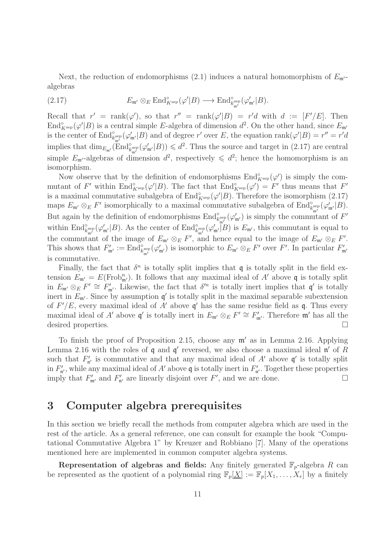Next, the reduction of endomorphisms (2.1) induces a natural homomorphism of  $E_{\rm m'}$ algebras

(2.17) 
$$
E_{\mathfrak{m}'} \otimes_E \mathrm{End}_{K^{\mathrm{sep}}}^{\circ}(\varphi'|B) \longrightarrow \mathrm{End}_{k_{\mathfrak{m}'}^{\mathrm{sep}}}^{\circ}(\varphi'_{\mathfrak{m}'}|B).
$$

Recall that  $r' = \text{rank}(\varphi')$ , so that  $r'' = \text{rank}(\varphi'|B) = r'd$  with  $d := [F'/E]$ . Then End $^{\circ}_{K^{\text{sep}}}(\varphi'|B)$  is a central simple E-algebra of dimension  $d^2$ . On the other hand, since  $E_{\mathfrak{m}'}$ is the center of  $\text{End}^{\circ}_{k^{\text{sep}}_{\mathfrak{m}'}}(\varphi'_{\mathfrak{m}'}|B)$  and of degree  $r'$  over E, the equation  $\text{rank}(\varphi'|B) = r'' = r'd$ implies that  $\dim_{E_{\mathfrak{m}'}}(\mathrm{End}_{k_{\mathfrak{m}'}^{\text{sep}}}^{\circ}(\varphi'_{\mathfrak{m}'}|B)) \leq d^2$ . Thus the source and target in (2.17) are central simple  $E_{\mathfrak{m}'}$ -algebras of dimension  $d^2$ , respectively  $\leq d^2$ ; hence the homomorphism is an isomorphism.

Now observe that by the definition of endomorphisms  $\text{End}_{K^{\text{sep}}}^{\circ}(\varphi')$  is simply the commutant of F' within  $\text{End}_{K^{\text{sep}}}^{\circ}(\varphi'|B)$ . The fact that  $\text{End}_{K^{\text{sep}}}^{\circ}(\varphi') = F'$  thus means that  $F'$ is a maximal commutative subalgebra of  $\text{End}_{K^{\text{sep}}}^{\circ}(\varphi'|B)$ . Therefore the isomorphism (2.17) maps  $E_{\mathfrak{m}'} \otimes_E F'$  isomorphically to a maximal commutative subalgebra of  $\text{End}^{\circ}_{k^{\text{sep}}_{\mathfrak{m}'}}(\varphi'_{\mathfrak{m}'}|B)$ . But again by the definition of endomorphisms  $\text{End}_{k^{\text{sep}}_{m'}}^{\circ}(\varphi'_{m'})$  is simply the commutant of  $F'$ within  $\text{End}^{\circ}_{k^{\text{sep}}_{\mathfrak{m}'}}(\varphi'_{\mathfrak{m}'}|B)$ . As the center of  $\text{End}^{\circ}_{k^{\text{sep}}_{\mathfrak{m}'}}(\varphi'_{\mathfrak{m}'}|B)$  is  $E_{\mathfrak{m}'}$ , this commutant is equal to the commutant of the image of  $E_{\mathfrak{m}'} \otimes_E F'$ , and hence equal to the image of  $E_{\mathfrak{m}'} \otimes_E F'$ . This shows that  $F'_{\mathfrak{m}'} := \text{End}_{k^{\text{sep}}_{\mathfrak{m}'}}^{\circ}(\varphi'_{\mathfrak{m}'})$  is isomorphic to  $E_{\mathfrak{m}'} \otimes_E F'$  over  $F'$ . In particular  $F'_{\mathfrak{m}'}$ is commutative.

Finally, the fact that  $\delta^n$  is totally split implies that q is totally split in the field extension  $E_{\mathfrak{m}'} = E(\text{Frob}^n_{\mathfrak{m}'})$ . It follows that any maximal ideal of A' above q is totally split in  $E_{\mathfrak{m}'} \otimes_E F' \cong F'_{\mathfrak{m}'}$ . Likewise, the fact that  $\delta'^n$  is totally inert implies that  $\mathfrak{q}'$  is totally inert in  $E_{\mathfrak{m}'}$ . Since by assumption  $\mathfrak{q}'$  is totally split in the maximal separable subextension of  $F'/E$ , every maximal ideal of A' above  $\mathfrak{q}'$  has the same residue field as  $\mathfrak{q}$ . Thus every maximal ideal of A' above  $\mathfrak{q}'$  is totally inert in  $E_{\mathfrak{m}'} \otimes_E F' \cong F'_{\mathfrak{m}'}$ . Therefore  $\mathfrak{m}'$  has all the desired properties.

To finish the proof of Proposition 2.15, choose any m′ as in Lemma 2.16. Applying Lemma 2.16 with the roles of  $\mathfrak q$  and  $\mathfrak q'$  reversed, we also choose a maximal ideal  $\mathfrak n'$  of  $R$ such that  $F'_{n'}$  is commutative and that any maximal ideal of A' above  $\mathfrak{q}'$  is totally split in  $F'_{\mathfrak{n}'}$ , while any maximal ideal of  $A'$  above  $\mathfrak q$  is totally inert in  $F'_{\mathfrak{n}'}$ . Together these properties imply that  $F'_{\mathfrak{m}'}$  and  $F'_{\mathfrak{n}'}$  are linearly disjoint over  $F'$ , and we are done.

# 3 Computer algebra prerequisites

In this section we briefly recall the methods from computer algebra which are used in the rest of the article. As a general reference, one can consult for example the book "Computational Commutative Algebra 1" by Kreuzer and Robbiano [7]. Many of the operations mentioned here are implemented in common computer algebra systems.

Representation of algebras and fields: Any finitely generated  $\mathbb{F}_p$ -algebra R can be represented as the quotient of a polynomial ring  $\mathbb{F}_p[\underline{X}] := \mathbb{F}_p[X_1, \ldots, X_r]$  by a finitely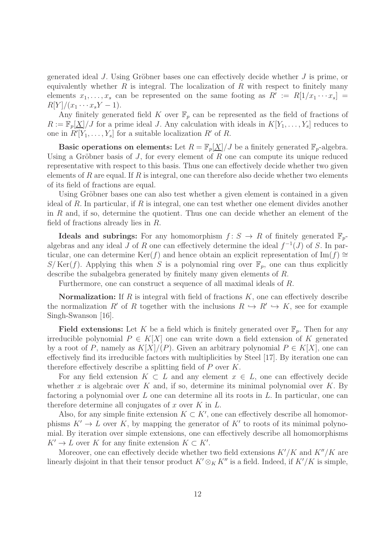generated ideal J. Using Gröbner bases one can effectively decide whether J is prime, or equivalently whether  $R$  is integral. The localization of  $R$  with respect to finitely many elements  $x_1, \ldots, x_s$  can be represented on the same footing as  $R' := R[1/x_1 \cdots x_s] =$  $R[Y]/(x_1 \cdots x_s Y - 1).$ 

Any finitely generated field K over  $\mathbb{F}_p$  can be represented as the field of fractions of  $R := \mathbb{F}_p[\underline{X}]/J$  for a prime ideal J. Any calculation with ideals in  $K[Y_1, \ldots, Y_s]$  reduces to one in  $R'[Y_1, \ldots, Y_s]$  for a suitable localization  $R'$  of R.

Basic operations on elements: Let  $R = \mathbb{F}_p[X]/J$  be a finitely generated  $\mathbb{F}_p$ -algebra. Using a Gröbner basis of  $J$ , for every element of  $R$  one can compute its unique reduced representative with respect to this basis. Thus one can effectively decide whether two given elements of  $R$  are equal. If  $R$  is integral, one can therefore also decide whether two elements of its field of fractions are equal.

Using Gröbner bases one can also test whether a given element is contained in a given ideal of R. In particular, if R is integral, one can test whether one element divides another in  $R$  and, if so, determine the quotient. Thus one can decide whether an element of the field of fractions already lies in R.

**Ideals and subrings:** For any homomorphism  $f: S \to R$  of finitely generated  $\mathbb{F}_p$ algebras and any ideal J of R one can effectively determine the ideal  $f^{-1}(J)$  of S. In particular, one can determine Ker(f) and hence obtain an explicit representation of Im(f) ≅  $S/Ker(f)$ . Applying this when S is a polynomial ring over  $\mathbb{F}_p$ , one can thus explicitly describe the subalgebra generated by finitely many given elements of R.

Furthermore, one can construct a sequence of all maximal ideals of R.

Normalization: If  $R$  is integral with field of fractions  $K$ , one can effectively describe the normalization R' of R together with the inclusions  $R \hookrightarrow R' \hookrightarrow K$ , see for example Singh-Swanson [16].

Field extensions: Let K be a field which is finitely generated over  $\mathbb{F}_p$ . Then for any irreducible polynomial  $P \in K[X]$  one can write down a field extension of K generated by a root of P, namely as  $K[X]/(P)$ . Given an arbitrary polynomial  $P \in K[X]$ , one can effectively find its irreducible factors with multiplicities by Steel [17]. By iteration one can therefore effectively describe a splitting field of P over K.

For any field extension  $K \subset L$  and any element  $x \in L$ , one can effectively decide whether x is algebraic over  $K$  and, if so, determine its minimal polynomial over  $K$ . By factoring a polynomial over  $L$  one can determine all its roots in  $L$ . In particular, one can therefore determine all conjugates of  $x$  over  $K$  in  $L$ .

Also, for any simple finite extension  $K \subset K'$ , one can effectively describe all homomorphisms  $K' \to L$  over K, by mapping the generator of K' to roots of its minimal polynomial. By iteration over simple extensions, one can effectively describe all homomorphisms  $K' \to L$  over K for any finite extension  $K \subset K'$ .

Moreover, one can effectively decide whether two field extensions  $K'/K$  and  $K''/K$  are linearly disjoint in that their tensor product  $K' \otimes_K K''$  is a field. Indeed, if  $K'/K$  is simple,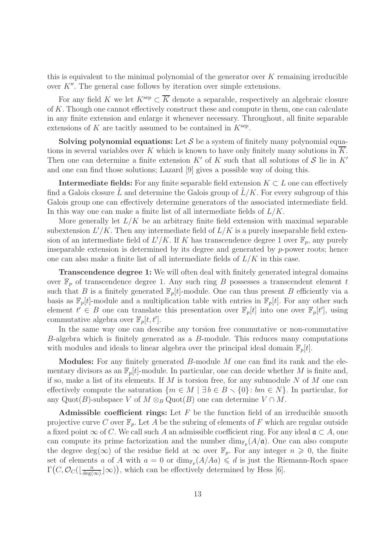this is equivalent to the minimal polynomial of the generator over  $K$  remaining irreducible over  $K''$ . The general case follows by iteration over simple extensions.

For any field K we let  $K^{\text{sep}} \subset \overline{K}$  denote a separable, respectively an algebraic closure of K. Though one cannot effectively construct these and compute in them, one can calculate in any finite extension and enlarge it whenever necessary. Throughout, all finite separable extensions of  $K$  are tacitly assumed to be contained in  $K^{\text{sep}}$ .

Solving polynomial equations: Let  $S$  be a system of finitely many polynomial equations in several variables over  $K$  which is known to have only finitely many solutions in  $K$ . Then one can determine a finite extension  $K'$  of K such that all solutions of S lie in  $K'$ and one can find those solutions; Lazard [9] gives a possible way of doing this.

**Intermediate fields:** For any finite separable field extension  $K \subset L$  one can effectively find a Galois closure  $\tilde{L}$  and determine the Galois group of  $\tilde{L}/K$ . For every subgroup of this Galois group one can effectively determine generators of the associated intermediate field. In this way one can make a finite list of all intermediate fields of  $L/K$ .

More generally let  $L/K$  be an arbitrary finite field extension with maximal separable subextension  $L'/K$ . Then any intermediate field of  $L/K$  is a purely inseparable field extension of an intermediate field of  $L'/K$ . If K has transcendence degree 1 over  $\mathbb{F}_p$ , any purely inseparable extension is determined by its degree and generated by  $p$ -power roots; hence one can also make a finite list of all intermediate fields of  $L/K$  in this case.

Transcendence degree 1: We will often deal with finitely generated integral domains over  $\mathbb{F}_p$  of transcendence degree 1. Any such ring B possesses a transcendent element t such that B is a finitely generated  $\mathbb{F}_p[t]$ -module. One can thus present B efficiently via a basis as  $\mathbb{F}_p[t]$ -module and a multiplication table with entries in  $\mathbb{F}_p[t]$ . For any other such element  $t' \in B$  one can translate this presentation over  $\mathbb{F}_p[t]$  into one over  $\mathbb{F}_p[t']$ , using commutative algebra over  $\mathbb{F}_p[t, t']$ .

In the same way one can describe any torsion free commutative or non-commutative B-algebra which is finitely generated as a B-module. This reduces many computations with modules and ideals to linear algebra over the principal ideal domain  $\mathbb{F}_p[t]$ .

**Modules:** For any finitely generated  $B$ -module  $M$  one can find its rank and the elementary divisors as an  $\mathbb{F}_p[t]$ -module. In particular, one can decide whether M is finite and, if so, make a list of its elements. If M is torsion free, for any submodule N of M one can effectively compute the saturation  $\{m \in M \mid \exists b \in B \setminus \{0\} : bm \in N\}$ . In particular, for any Quot(B)-subspace V of  $M \otimes_B \mathrm{Quot}(B)$  one can determine  $V \cap M$ .

Admissible coefficient rings: Let  $F$  be the function field of an irreducible smooth projective curve C over  $\mathbb{F}_p$ . Let A be the subring of elements of F which are regular outside a fixed point  $\infty$  of C. We call such A an admissible coefficient ring. For any ideal  $\mathfrak{a} \subset A$ , one can compute its prime factorization and the number  $\dim_{\mathbb{F}_p}(A/\mathfrak{a})$ . One can also compute the degree deg( $\infty$ ) of the residue field at  $\infty$  over  $\mathbb{F}_p$ . For any integer  $n \geq 0$ , the finite set of elements a of A with  $a = 0$  or  $\dim_{\mathbb{F}_p}(A/Aa) \leq d$  is just the Riemann-Roch space  $\Gamma(C, \mathcal{O}_C(\lfloor \frac{n}{\deg C})\rfloor))$  $\frac{n}{\deg(\infty)}\rfloor\infty)$ , which can be effectively determined by Hess [6].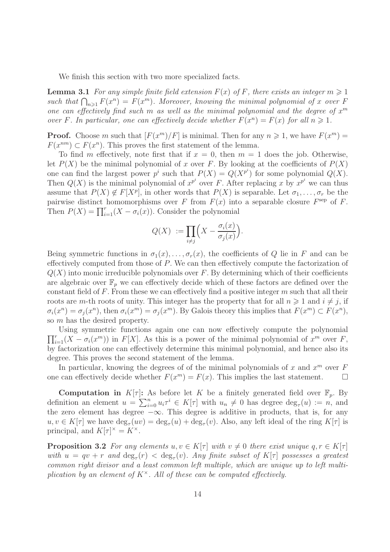We finish this section with two more specialized facts.

**Lemma 3.1** For any simple finite field extension  $F(x)$  of F, there exists an integer  $m \geq 1$ such that  $\bigcap_{n\geqslant 1} F(x^n) = F(x^m)$ . Moreover, knowing the minimal polynomial of x over F one can effectively find such m as well as the minimal polynomial and the degree of  $x^m$ over F. In particular, one can effectively decide whether  $F(x^n) = F(x)$  for all  $n \ge 1$ .

**Proof.** Choose m such that  $[F(x^m)/F]$  is minimal. Then for any  $n \ge 1$ , we have  $F(x^m) =$  $F(x^{nm}) \subset F(x^n)$ . This proves the first statement of the lemma.

To find m effectively, note first that if  $x = 0$ , then  $m = 1$  does the job. Otherwise, let  $P(X)$  be the minimal polynomial of x over F. By looking at the coefficients of  $P(X)$ one can find the largest power  $p^i$  such that  $P(X) = Q(X^{p^i})$  for some polynomial  $Q(X)$ . Then  $Q(X)$  is the minimal polynomial of  $x^{p^i}$  over F. After replacing x by  $x^{p^i}$  we can thus assume that  $P(X) \notin F[X^p]$ , in other words that  $P(X)$  is separable. Let  $\sigma_1, \ldots, \sigma_r$  be the pairwise distinct homomorphisms over F from  $F(x)$  into a separable closure  $F^{\text{sep}}$  of F. Then  $P(X) = \prod_{i=1}^{r} (X - \sigma_i(x))$ . Consider the polynomial

$$
Q(X) := \prod_{i \neq j} \left( X - \frac{\sigma_i(x)}{\sigma_j(x)} \right).
$$

Being symmetric functions in  $\sigma_1(x), \ldots, \sigma_r(x)$ , the coefficients of Q lie in F and can be effectively computed from those of P. We can then effectively compute the factorization of  $Q(X)$  into monic irreducible polynomials over F. By determining which of their coefficients are algebraic over  $\mathbb{F}_p$  we can effectively decide which of these factors are defined over the constant field of F. From these we can effectively find a positive integer  $m$  such that all their roots are m-th roots of unity. This integer has the property that for all  $n \geq 1$  and  $i \neq j$ , if  $\sigma_i(x^n) = \sigma_j(x^n)$ , then  $\sigma_i(x^m) = \sigma_j(x^m)$ . By Galois theory this implies that  $F(x^m) \subset F(x^n)$ , so m has the desired property.

 $\prod_{i=1}^r (X - \sigma_i(x^m))$  in  $F[X]$ . As this is a power of the minimal polynomial of  $x^m$  over F, Using symmetric functions again one can now effectively compute the polynomial by factorization one can effectively determine this minimal polynomial, and hence also its degree. This proves the second statement of the lemma.

In particular, knowing the degrees of of the minimal polynomials of x and  $x^m$  over F one can effectively decide whether  $F(x^m) = F(x)$ . This implies the last statement.

**Computation in**  $K[\tau]$ : As before let K be a finitely generated field over  $\mathbb{F}_p$ . By definition an element  $u = \sum_{i=0}^{n} u_i \tau^i \in K[\tau]$  with  $u_n \neq 0$  has degree  $\deg_{\tau}(u) := n$ , and the zero element has degree  $-\infty$ . This degree is additive in products, that is, for any  $u, v \in K[\tau]$  we have  $\deg_{\tau}(uv) = \deg_{\tau}(u) + \deg_{\tau}(v)$ . Also, any left ideal of the ring  $K[\tau]$  is principal, and  $K[\tau]^{\times} = K^{\times}$ .

**Proposition 3.2** For any elements  $u, v \in K[\tau]$  with  $v \neq 0$  there exist unique  $q, r \in K[\tau]$ with  $u = qv + r$  and  $\deg_{\tau}(r) < \deg_{\tau}(v)$ . Any finite subset of  $K[\tau]$  possesses a greatest common right divisor and a least common left multiple, which are unique up to left multiplication by an element of  $K^{\times}$ . All of these can be computed effectively.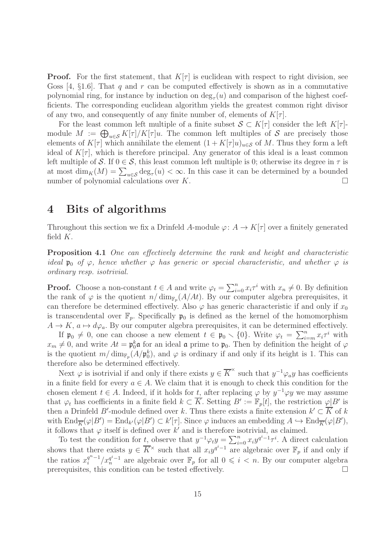**Proof.** For the first statement, that  $K[\tau]$  is euclidean with respect to right division, see Goss  $[4, \S1.6]$ . That q and r can be computed effectively is shown as in a commutative polynomial ring, for instance by induction on  $\deg_{\tau}(u)$  and comparison of the highest coefficients. The corresponding euclidean algorithm yields the greatest common right divisor of any two, and consequently of any finite number of, elements of  $K[\tau]$ .

For the least common left multiple of a finite subset  $S \subset K[\tau]$  consider the left  $K[\tau]$ module  $M := \bigoplus_{u \in \mathcal{S}} K[\tau]/K[\tau]u$ . The common left multiples of S are precisely those elements of  $K[\tau]$  which annihilate the element  $(1 + K[\tau]u)_{u \in S}$  of M. Thus they form a left ideal of  $K[\tau]$ , which is therefore principal. Any generator of this ideal is a least common left multiple of S. If  $0 \in S$ , this least common left multiple is 0; otherwise its degree in  $\tau$  is at most  $\dim_K(M) = \sum_{u \in \mathcal{S}} \deg_{\tau}(u) < \infty$ . In this case it can be determined by a bounded number of polynomial calculations over  $K$ .

### 4 Bits of algorithms

Throughout this section we fix a Drinfeld A-module  $\varphi: A \to K[\tau]$  over a finitely generated field  $K$ .

Proposition 4.1 One can effectively determine the rank and height and characteristic ideal  $\mathfrak{p}_0$  of  $\varphi$ , hence whether  $\varphi$  has generic or special characteristic, and whether  $\varphi$  is ordinary resp. isotrivial.

**Proof.** Choose a non-constant  $t \in A$  and write  $\varphi_t = \sum_{i=0}^n x_i \tau^i$  with  $x_n \neq 0$ . By definition the rank of  $\varphi$  is the quotient  $n/\dim_{\mathbb{F}_p}(A/At)$ . By our computer algebra prerequisites, it can therefore be determined effectively. Also  $\varphi$  has generic characteristic if and only if  $x_0$ is transcendental over  $\mathbb{F}_p$ . Specifically  $\mathfrak{p}_0$  is defined as the kernel of the homomorphism  $A \to K$ ,  $a \mapsto d\varphi_a$ . By our computer algebra prerequisites, it can be determined effectively.

If  $\mathfrak{p}_0 \neq 0$ , one can choose a new element  $t \in \mathfrak{p}_0 \setminus \{0\}$ . Write  $\varphi_t = \sum_{i=m}^n x_i \tau^i$  with  $x_m \neq 0$ , and write  $At = \mathfrak{p}_0^k \mathfrak{a}$  for an ideal  $\mathfrak{a}$  prime to  $\mathfrak{p}_0$ . Then by definition the height of  $\varphi$ is the quotient  $m/\dim_{\mathbb{F}_p}(A/\mathfrak{p}_0^k)$ , and  $\varphi$  is ordinary if and only if its height is 1. This can therefore also be determined effectively.

Next  $\varphi$  is isotrivial if and only if there exists  $y \in \overline{K}^{\times}$  such that  $y^{-1} \varphi_{a} y$  has coefficients in a finite field for every  $a \in A$ . We claim that it is enough to check this condition for the chosen element  $t \in A$ . Indeed, if it holds for t, after replacing  $\varphi$  by  $y^{-1} \varphi y$  we may assume that  $\varphi_t$  has coefficients in a finite field  $k \subset \overline{K}$ . Setting  $B' := \mathbb{F}_p[t]$ , the restriction  $\varphi|B'$  is then a Drinfeld B'-module defined over k. Thus there exists a finite extension  $k' \subset \overline{K}$  of k with  $\text{End}_{\overline{K}}(\varphi|B') = \text{End}_{k'}(\varphi|B') \subset k'[\tau]$ . Since  $\varphi$  induces an embedding  $A \hookrightarrow \text{End}_{\overline{K}}(\varphi|B')$ , it follows that  $\varphi$  itself is defined over k' and is therefore isotrivial, as claimed.

To test the condition for t, observe that  $y^{-1}\varphi_t y = \sum_{i=0}^n x_i y^{q^i-1} \tau^i$ . A direct calculation shows that there exists  $y \in \overline{K}^{\times}$  such that all  $x_i y^{q^i-1}$  are algebraic over  $\mathbb{F}_p$  if and only if the ratios  $x_i^{q^n-1}$  $\int_{i}^{q^{n}-1} /x_n^{q^{i}-1}$  are algebraic over  $\mathbb{F}_p$  for all  $0 \leqslant i < n$ . By our computer algebra prerequisites, this condition can be tested effectively.  $\Box$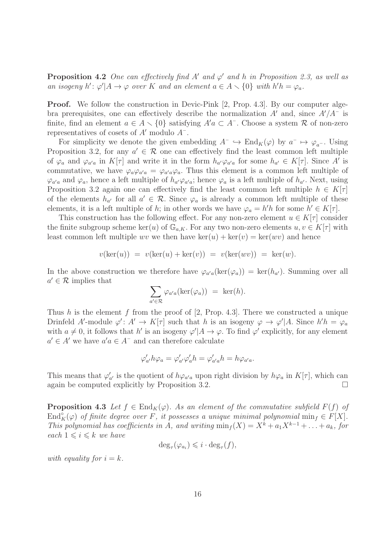**Proposition 4.2** One can effectively find A' and  $\varphi'$  and h in Proposition 2.3, as well as an isogeny  $h' : \varphi' | A \to \varphi$  over K and an element  $a \in A \setminus \{0\}$  with  $h'h = \varphi_a$ .

Proof. We follow the construction in Devic-Pink [2, Prop. 4.3]. By our computer algebra prerequisites, one can effectively describe the normalization  $A'$  and, since  $A'/A^-$  is finite, find an element  $a \in A \setminus \{0\}$  satisfying  $A'a \subset A^-$ . Choose a system R of non-zero representatives of cosets of  $A'$  modulo  $A^-$ .

For simplicity we denote the given embedding  $A^- \hookrightarrow \text{End}_K(\varphi)$  by  $a^- \mapsto \varphi_{a^-}$ . Using Proposition 3.2, for any  $a' \in \mathcal{R}$  one can effectively find the least common left multiple of  $\varphi_a$  and  $\varphi_{a'a}$  in  $K[\tau]$  and write it in the form  $h_{a'}\varphi_{a'a}$  for some  $h_{a'} \in K[\tau]$ . Since A' is commutative, we have  $\varphi_a \varphi_{a'} = \varphi_{a'} a \varphi_a$ . Thus this element is a common left multiple of  $\varphi_{a'a}$  and  $\varphi_a$ , hence a left multiple of  $h_{a'}\varphi_{a'a}$ ; hence  $\varphi_a$  is a left multiple of  $h_{a'}$ . Next, using Proposition 3.2 again one can effectively find the least common left multiple  $h \in K[\tau]$ of the elements  $h_{a'}$  for all  $a' \in \mathcal{R}$ . Since  $\varphi_a$  is already a common left multiple of these elements, it is a left multiple of h; in other words we have  $\varphi_a = h'h$  for some  $h' \in K[\tau]$ .

This construction has the following effect. For any non-zero element  $u \in K[\tau]$  consider the finite subgroup scheme ker(u) of  $\mathbb{G}_{a,K}$ . For any two non-zero elements  $u, v \in K[\tau]$  with least common left multiple wv we then have  $\ker(u) + \ker(v) = \ker(wv)$  and hence

$$
v(\ker(u)) = v(\ker(u) + \ker(v)) = v(\ker(wv)) = \ker(w).
$$

In the above construction we therefore have  $\varphi_{a'a}(\ker(\varphi_a)) = \ker(h_{a'})$ . Summing over all  $a' \in \mathcal{R}$  implies that

$$
\sum_{a' \in \mathcal{R}} \varphi_{a'a}(\ker(\varphi_a)) = \ker(h).
$$

Thus h is the element f from the proof of  $[2, Prop. 4.3]$ . There we constructed a unique Drinfeld A'-module  $\varphi' : A' \to K[\tau]$  such that h is an isogeny  $\varphi \to \varphi' | A$ . Since  $h'h = \varphi_a$ with  $a \neq 0$ , it follows that h' is an isogeny  $\varphi' | A \to \varphi$ . To find  $\varphi'$  explicitly, for any element  $a' \in A'$  we have  $a'a \in A^-$  and can therefore calculate

$$
\varphi'_{a'}h\varphi_a = \varphi'_{a'}\varphi'_{a}h = \varphi'_{a'a}h = h\varphi_{a'a}.
$$

This means that  $\varphi'_{a'}$  is the quotient of  $h\varphi_{a'}$  upon right division by  $h\varphi_a$  in  $K[\tau]$ , which can again be computed explicitly by Proposition 3.2.  $\Box$ 

**Proposition 4.3** Let  $f \in End_K(\varphi)$ . As an element of the commutative subfield  $F(f)$  of  $\text{End}_K^{\circ}(\varphi)$  of finite degree over F, it possesses a unique minimal polynomial  $\min_f \in F[X]$ . This polynomial has coefficients in A, and writing  $\min_f (X) = X^k + a_1 X^{k-1} + \ldots + a_k$ , for each  $1 \leq i \leq k$  we have

$$
\deg_{\tau}(\varphi_{a_i}) \leqslant i \cdot \deg_{\tau}(f),
$$

with equality for  $i = k$ .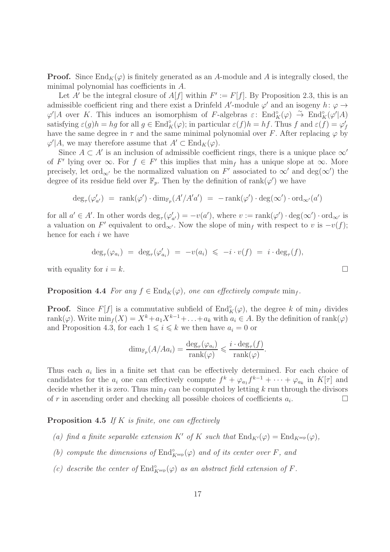**Proof.** Since  $\text{End}_K(\varphi)$  is finitely generated as an A-module and A is integrally closed, the minimal polynomial has coefficients in A.

Let A' be the integral closure of  $A[f]$  within  $F' := F[f]$ . By Proposition 2.3, this is an admissible coefficient ring and there exist a Drinfeld A'-module  $\varphi'$  and an isogeny  $h: \varphi \to$  $\varphi' | A$  over K. This induces an isomorphism of F-algebras  $\varepsilon:$   $\text{End}_{K}^{\circ}(\varphi) \stackrel{\sim}{\to} \text{End}_{K}^{\circ}(\varphi' | A)$ satisfying  $\varepsilon(g)h = hg$  for all  $g \in \text{End}_K^{\circ}(\varphi)$ ; in particular  $\varepsilon(f)h = hf$ . Thus f and  $\varepsilon(f) = \varphi'_f$ have the same degree in  $\tau$  and the same minimal polynomial over F. After replacing  $\varphi$  by  $\varphi' | A$ , we may therefore assume that  $A' \subset \text{End}_K(\varphi)$ .

Since  $A \subset A'$  is an inclusion of admissible coefficient rings, there is a unique place  $\infty'$ of F' lying over  $\infty$ . For  $f \in F'$  this implies that  $\min_f$  has a unique slope at  $\infty$ . More precisely, let ord<sub>∞'</sub> be the normalized valuation on  $F'$  associated to  $\infty'$  and  $deg(\infty')$  the degree of its residue field over  $\mathbb{F}_p$ . Then by the definition of rank $(\varphi')$  we have

$$
\deg_{\tau}(\varphi'_{a'}) = \operatorname{rank}(\varphi') \cdot \dim_{\mathbb{F}_p}(A'/A'a') = -\operatorname{rank}(\varphi') \cdot \deg(\infty') \cdot \operatorname{ord}_{\infty'}(a')
$$

for all  $a' \in A'$ . In other words  $\deg_{\tau}(\varphi'_{a'}) = -v(a')$ , where  $v := \text{rank}(\varphi') \cdot \deg(\infty') \cdot \text{ord}_{\infty'}$  is a valuation on F' equivalent to ord<sub>∞'</sub>. Now the slope of min<sub>f</sub> with respect to v is  $-v(f)$ ; hence for each  $i$  we have

$$
\deg_{\tau}(\varphi_{a_i}) = \deg_{\tau}(\varphi'_{a_i}) = -v(a_i) \leqslant -i \cdot v(f) = i \cdot \deg_{\tau}(f),
$$

with equality for  $i = k$ .

#### **Proposition 4.4** For any  $f \in End_K(\varphi)$ , one can effectively compute min<sub>f</sub>.

**Proof.** Since  $F[f]$  is a commutative subfield of  $\text{End}_{K}^{\circ}(\varphi)$ , the degree k of min<sub>f</sub> divides rank( $\varphi$ ). Write  $\min_{f} (X) = X^k + a_1 X^{k-1} + \ldots + a_k$  with  $a_i \in A$ . By the definition of rank( $\varphi$ ) and Proposition 4.3, for each  $1 \leq i \leq k$  we then have  $a_i = 0$  or

$$
\dim_{\mathbb{F}_p}(A/Aa_i) = \frac{\deg_{\tau}(\varphi_{a_i})}{\text{rank}(\varphi)} \leqslant \frac{i \cdot \deg_{\tau}(f)}{\text{rank}(\varphi)}.
$$

Thus each  $a_i$  lies in a finite set that can be effectively determined. For each choice of candidates for the  $a_i$  one can effectively compute  $f^k + \varphi_{a_1} f^{k-1} + \cdots + \varphi_{a_k}$  in  $K[\tau]$  and decide whether it is zero. Thus  $\min_f$  can be computed by letting k run through the divisors of r in ascending order and checking all possible choices of coefficients  $a_i$ . .

#### **Proposition 4.5** If K is finite, one can effectively

- (a) find a finite separable extension K' of K such that  $\text{End}_{K'}(\varphi) = \text{End}_{K^{\text{sep}}}(\varphi)$ ,
- (b) compute the dimensions of  $\text{End}_{K^{\text{sep}}}^{\circ}(\varphi)$  and of its center over F, and
- (c) describe the center of  $\text{End}_{K^{\text{sep}}}^{\circ}(\varphi)$  as an abstract field extension of F.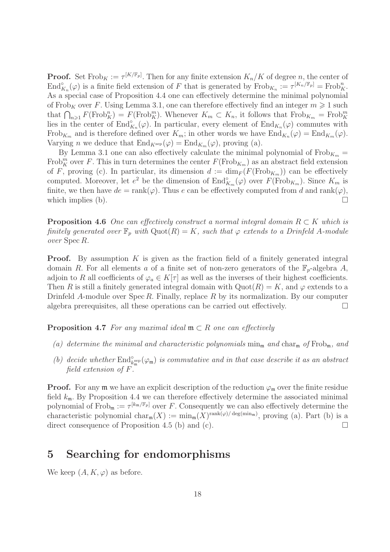**Proof.** Set  $\text{Frob}_K := \tau^{[K/\mathbb{F}_p]}$ . Then for any finite extension  $K_n/K$  of degree n, the center of  $\text{End}_{K_n}^{\circ}(\varphi)$  is a finite field extension of F that is generated by  $\text{Frob}_{K_n} := \tau^{[K_n/\mathbb{F}_p]} = \text{Frob}_K^n$ . As a special case of Proposition 4.4 one can effectively determine the minimal polynomial of Frob<sub>K</sub> over F. Using Lemma 3.1, one can therefore effectively find an integer  $m \geq 1$  such that  $\bigcap_{n\geqslant 1} F(\text{Frob}_K^n) = F(\text{Frob}_K^m)$ . Whenever  $K_m \subset K_n$ , it follows that  $\text{Frob}_{K_m} = \text{Frob}_K^m$ lies in the center of  $\text{End}_{K_n}^{\circ}(\varphi)$ . In particular, every element of  $\text{End}_{K_n}(\varphi)$  commutes with Frob<sub>K<sub>m</sub></sub> and is therefore defined over  $K_m$ ; in other words we have  $\text{End}_{K_n}(\varphi) = \text{End}_{K_m}(\varphi)$ . Varying *n* we deduce that  $\text{End}_{K^{\text{sep}}}(\varphi) = \text{End}_{K_m}(\varphi)$ , proving (a).

By Lemma 3.1 one can also effectively calculate the minimal polynomial of  $Frob_{K_m} =$ Frob<sup>m</sup> over F. This in turn determines the center  $F(\text{Frob}_{K_m})$  as an abstract field extension of F, proving (c). In particular, its dimension  $d := \dim_F(F(\text{Frob}_{K_m}))$  can be effectively computed. Moreover, let  $e^2$  be the dimension of  $\text{End}^{\circ}_{K_m}(\varphi)$  over  $F(\text{Frob}_{K_m})$ . Since  $K_m$  is finite, we then have  $de = \text{rank}(\varphi)$ . Thus e can be effectively computed from d and  $\text{rank}(\varphi)$ , which implies (b).  $\Box$ 

**Proposition 4.6** One can effectively construct a normal integral domain  $R \subset K$  which is finitely generated over  $\mathbb{F}_p$  with  $\mathrm{Quot}(R) = K$ , such that  $\varphi$  extends to a Drinfeld A-module over Spec R.

**Proof.** By assumption  $K$  is given as the fraction field of a finitely generated integral domain R. For all elements a of a finite set of non-zero generators of the  $\mathbb{F}_p$ -algebra A, adjoin to R all coefficients of  $\varphi_a \in K[\tau]$  as well as the inverses of their highest coefficients. Then R is still a finitely generated integral domain with  $Quot(R) = K$ , and  $\varphi$  extends to a Drinfeld A-module over  $Spec R$ . Finally, replace R by its normalization. By our computer algebra prerequisites, all these operations can be carried out effectively.  $\Box$ 

**Proposition 4.7** For any maximal ideal  $\mathfrak{m} \subset R$  one can effectively

- (a) determine the minimal and characteristic polynomials  $\min_{\mathfrak{m}}$  and  $\text{char}_{\mathfrak{m}}$  of  $\text{Frob}_{\mathfrak{m}}$ , and
- (b) decide whether  $\text{End}^{\circ}_{k^{\text{sep}}_m}(\varphi_m)$  is commutative and in that case describe it as an abstract field extension of F.

**Proof.** For any  $\mathfrak{m}$  we have an explicit description of the reduction  $\varphi_{\mathfrak{m}}$  over the finite residue field  $k_{\rm m}$ . By Proposition 4.4 we can therefore effectively determine the associated minimal polynomial of  $\text{Frob}_{\mathfrak{m}} := \tau^{[k_{\mathfrak{m}}/F_p]}$  over F. Consequently we can also effectively determine the characteristic polynomial char<sub>m</sub> $(X) := \min_{\mathfrak{m}}(X)^{\text{rank}(\varphi)/\deg(\min_{\mathfrak{m}})}$ , proving (a). Part (b) is a direct consequence of Proposition 4.5 (b) and (c).  $\Box$ 

## 5 Searching for endomorphisms

We keep  $(A, K, \varphi)$  as before.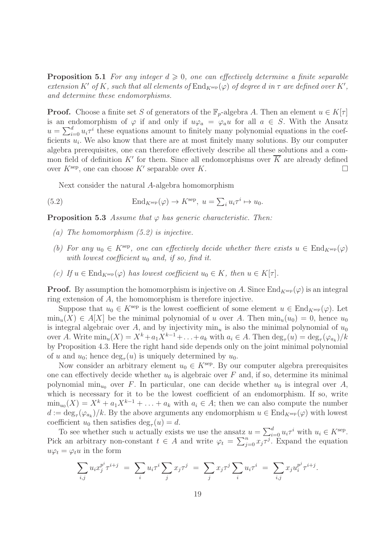**Proposition 5.1** For any integer  $d \geq 0$ , one can effectively determine a finite separable extension K' of K, such that all elements of  $\text{End}_{K^{\text{sep}}}(\varphi)$  of degree d in  $\tau$  are defined over K', and determine these endomorphisms.

**Proof.** Choose a finite set S of generators of the  $\mathbb{F}_p$ -algebra A. Then an element  $u \in K[\tau]$ is an endomorphism of  $\varphi$  if and only if  $u\varphi_a = \varphi_a u$  for all  $a \in S$ . With the Ansatz  $u = \sum_{i=0}^{d} u_i \tau^i$  these equations amount to finitely many polynomial equations in the coefficients  $u_i$ . We also know that there are at most finitely many solutions. By our computer algebra prerequisites, one can therefore effectively describe all these solutions and a common field of definition K' for them. Since all endomorphisms over  $\overline{K}$  are already defined over  $K^{\text{sep}}$ , one can choose  $K'$  separable over  $K$ .

Next consider the natural A-algebra homomorphism

(5.2) 
$$
\operatorname{End}_{K^{\text{sep}}}(\varphi) \to K^{\text{sep}}, \ u = \sum_i u_i \tau^i \mapsto u_0.
$$

**Proposition 5.3** Assume that  $\varphi$  has generic characteristic. Then:

- (a) The homomorphism (5.2) is injective.
- (b) For any  $u_0 \in K^{\rm sep}$ , one can effectively decide whether there exists  $u \in \text{End}_{K^{\rm sep}}(\varphi)$ with lowest coefficient  $u_0$  and, if so, find it.
- (c) If  $u \in \text{End}_{K^{\text{sep}}}(\varphi)$  has lowest coefficient  $u_0 \in K$ , then  $u \in K[\tau]$ .

**Proof.** By assumption the homomorphism is injective on A. Since  $\text{End}_{K^{\text{sep}}}(\varphi)$  is an integral ring extension of A, the homomorphism is therefore injective.

Suppose that  $u_0 \in K^{\text{sep}}$  is the lowest coefficient of some element  $u \in \text{End}_{K^{\text{sep}}}(\varphi)$ . Let  $\min_u(X) \in A[X]$  be the minimal polynomial of u over A. Then  $\min_u(u_0) = 0$ , hence  $u_0$ is integral algebraic over A, and by injectivity  $\min_u$  is also the minimal polynomial of  $u_0$ over A. Write  $\min_u(X) = X^k + a_1 X^{k-1} + \ldots + a_k$  with  $a_i \in A$ . Then  $\deg_{\tau}(u) = \deg_{\tau}(\varphi_{a_k})/k$ by Proposition 4.3. Here the right hand side depends only on the joint minimal polynomial of u and  $u_0$ ; hence  $deg_\tau(u)$  is uniquely determined by  $u_0$ .

Now consider an arbitrary element  $u_0 \in K^{\text{sep}}$ . By our computer algebra prerequisites one can effectively decide whether  $u_0$  is algebraic over F and, if so, determine its minimal polynomial min<sub>uo</sub> over F. In particular, one can decide whether  $u_0$  is integral over A, which is necessary for it to be the lowest coefficient of an endomorphism. If so, write  $\min_{u_0}(X) = X^k + a_1 X^{k-1} + \ldots + a_k$  with  $a_i \in A$ ; then we can also compute the number  $d := \deg_{\tau}(\varphi_{a_k})/k$ . By the above arguments any endomorphism  $u \in \text{End}_{K^{\text{sep}}}(\varphi)$  with lowest coefficient  $u_0$  then satisfies  $\deg_\tau(u) = d$ .

To see whether such u actually exists we use the ansatz  $u = \sum_{i=0}^{d} u_i \tau^i$  with  $u_i \in K^{\text{sep}}$ . Pick an arbitrary non-constant  $t \in A$  and write  $\varphi_t = \sum_{j=0}^n x_j \overline{\tau^j}$ . Expand the equation  $u\varphi_t = \varphi_t u$  in the form

$$
\sum_{i,j} u_i x_j^{p^i} \tau^{i+j} = \sum_i u_i \tau^i \sum_j x_j \tau^j = \sum_j x_j \tau^j \sum_i u_i \tau^i = \sum_{i,j} x_j u_i^{p^j} \tau^{i+j}.
$$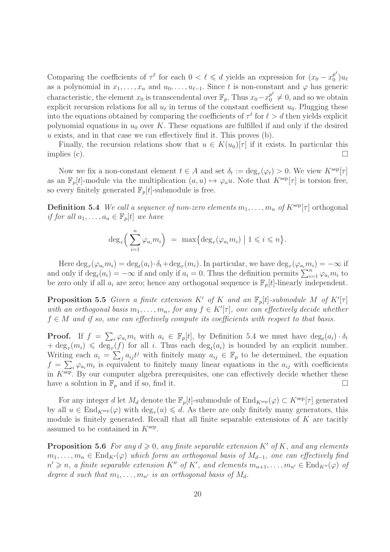Comparing the coefficients of  $\tau^{\ell}$  for each  $0 < \ell \leq d$  yields an expression for  $(x_0 - x_0^{p^{\ell}})$  $_0^{p^*})u_\ell$ as a polynomial in  $x_1, \ldots, x_n$  and  $u_0, \ldots, u_{\ell-1}$ . Since t is non-constant and  $\varphi$  has generic characteristic, the element  $x_0$  is transcendental over  $\mathbb{F}_p$ . Thus  $x_0 - x_0^{p^{\ell}}$  $_0^{p^{\circ}} \neq 0$ , and so we obtain explicit recursion relations for all  $u_{\ell}$  in terms of the constant coefficient  $u_0$ . Plugging these into the equations obtained by comparing the coefficients of  $\tau^{\ell}$  for  $\ell > d$  then yields explicit polynomial equations in  $u_0$  over K. These equations are fulfilled if and only if the desired u exists, and in that case we can effectively find it. This proves (b).

Finally, the recursion relations show that  $u \in K(u_0)[\tau]$  if it exists. In particular this implies (c).  $\Box$ 

Now we fix a non-constant element  $t \in A$  and set  $\delta_t := \deg_{\tau}(\varphi_t) > 0$ . We view  $K^{\text{sep}}[\tau]$ as an  $\mathbb{F}_p[t]$ -module via the multiplication  $(a, u) \mapsto \varphi_a u$ . Note that  $K^{\text{sep}}[\tau]$  is torsion free, so every finitely generated  $\mathbb{F}_p[t]$ -submodule is free.

**Definition 5.4** We call a sequence of non-zero elements  $m_1, \ldots, m_n$  of  $K^{\text{sep}}[\tau]$  orthogonal if for all  $a_1, \ldots, a_n \in \mathbb{F}_p[t]$  we have

$$
\deg_{\tau}\left(\sum_{i=1}^n \varphi_{a_i} m_i\right) = \max\left\{\deg_{\tau}(\varphi_{a_i} m_i) \mid 1 \leqslant i \leqslant n\right\}.
$$

Here  $\deg_{\tau}(\varphi_{a_i}m_i) = \deg_t(a_i) \cdot \delta_t + \deg_{\tau}(m_i)$ . In particular, we have  $\deg_{\tau}(\varphi_{a_i}m_i) = -\infty$  if and only if  $\deg_t(a_i) = -\infty$  if and only if  $a_i = 0$ . Thus the definition permits  $\sum_{i=1}^n \varphi_{a_i} m_i$  to be zero only if all  $a_i$  are zero; hence any orthogonal sequence is  $\mathbb{F}_p[t]$ -linearly independent.

**Proposition 5.5** Given a finite extension K' of K and an  $\mathbb{F}_p[t]$ -submodule M of  $K'[\tau]$ with an orthogonal basis  $m_1, \ldots, m_n$ , for any  $f \in K'[\tau]$ , one can effectively decide whether  $f \in M$  and if so, one can effectively compute its coefficients with respect to that basis.

**Proof.** If  $f = \sum_i \varphi_{a_i} m_i$  with  $a_i \in \mathbb{F}_p[t]$ , by Definition 5.4 we must have  $\deg_t(a_i) \cdot \delta_t$  $+\deg_{\tau}(m_i) \leq \deg_{\tau}(f)$  for all i. Thus each  $\deg_t(a_i)$  is bounded by an explicit number. Writing each  $a_i = \sum_j a_{ij} t^j$  with finitely many  $a_{ij} \in \mathbb{F}_p$  to be determined, the equation  $f = \sum_i \varphi_{a_i} m_i$  is equivalent to finitely many linear equations in the  $a_{ij}$  with coefficients in  $K<sup>sep</sup>$ . By our computer algebra prerequisites, one can effectively decide whether these have a solution in  $\mathbb{F}_p$  and if so, find it.

For any integer d let  $M_d$  denote the  $\mathbb{F}_p[t]$ -submodule of  $\text{End}_{K^{\text{sep}}}(\varphi) \subset K^{\text{sep}}[\tau]$  generated by all  $u \in \text{End}_{K^{\text{sep}}}(\varphi)$  with  $\deg_{\tau}(u) \leq d$ . As there are only finitely many generators, this module is finitely generated. Recall that all finite separable extensions of K are tacitly assumed to be contained in  $K^{\text{sep}}$ .

**Proposition 5.6** For any  $d \geq 0$ , any finite separable extension K' of K, and any elements  $m_1, \ldots, m_n \in \text{End}_{K'}(\varphi)$  which form an orthogonal basis of  $M_{d-1}$ , one can effectively find  $n' \geq n$ , a finite separable extension K'' of K', and elements  $m_{n+1}, \ldots, m_{n'} \in \text{End}_{K''}(\varphi)$  of degree d such that  $m_1, \ldots, m_{n'}$  is an orthogonal basis of  $M_d$ .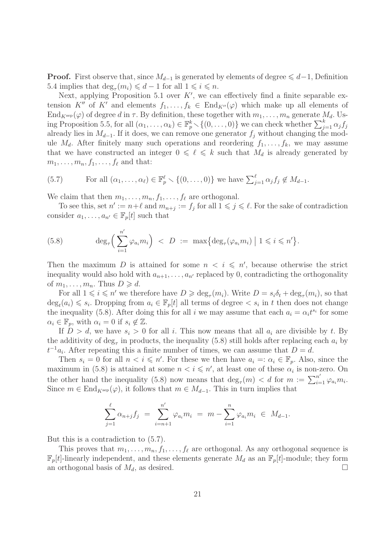**Proof.** First observe that, since  $M_{d-1}$  is generated by elements of degree  $\leq d-1$ , Definition 5.4 implies that  $\deg_{\tau}(m_i) \leq d-1$  for all  $1 \leq i \leq n$ .

Next, applying Proposition 5.1 over  $K'$ , we can effectively find a finite separable extension K'' of K' and elements  $f_1, \ldots, f_k \in \text{End}_{K''}(\varphi)$  which make up all elements of  $\text{End}_{K^{\text{sep}}}(\varphi)$  of degree d in  $\tau$ . By definition, these together with  $m_1, \ldots, m_n$  generate  $M_d$ . Using Proposition 5.5, for all  $(\alpha_1, \ldots, \alpha_k) \in \mathbb{F}_p^k \setminus \{(0, \ldots, 0)\}\$ we can check whether  $\sum_{j=1}^k \alpha_j f_j$ already lies in  $M_{d-1}$ . If it does, we can remove one generator  $f_i$  without changing the module  $M_d$ . After finitely many such operations and reordering  $f_1, \ldots, f_k$ , we may assume that we have constructed an integer  $0 \leq \ell \leq k$  such that  $M_d$  is already generated by  $m_1, \ldots, m_n, f_1, \ldots, f_\ell$  and that:

(5.7) For all 
$$
(\alpha_1, \ldots, \alpha_\ell) \in \mathbb{F}_p^\ell \setminus \{(0, \ldots, 0)\}
$$
 we have  $\sum_{j=1}^\ell \alpha_j f_j \notin M_{d-1}$ .

We claim that then  $m_1, \ldots, m_n, f_1, \ldots, f_\ell$  are orthogonal.

To see this, set  $n' := n + \ell$  and  $m_{n+j} := f_j$  for all  $1 \leq j \leq \ell$ . For the sake of contradiction consider  $a_1, \ldots, a_{n'} \in \mathbb{F}_p[t]$  such that

(5.8) 
$$
\deg_{\tau}\left(\sum_{i=1}^{n'}\varphi_{a_i}m_i\right) < D := \max\{\deg_{\tau}(\varphi_{a_i}m_i) \mid 1 \leq i \leq n'\}.
$$

Then the maximum D is attained for some  $n < i \leq n'$ , because otherwise the strict inequality would also hold with  $a_{n+1}, \ldots, a_{n'}$  replaced by 0, contradicting the orthogonality of  $m_1, \ldots, m_n$ . Thus  $D \geq d$ .

For all  $1 \leq i \leq n'$  we therefore have  $D \geq \deg_{\tau}(m_i)$ . Write  $D = s_i \delta_t + \deg_{\tau}(m_i)$ , so that  $\deg_t(a_i) \leq s_i$ . Dropping from  $a_i \in \mathbb{F}_p[t]$  all terms of degree  $\lt s_i$  in t then does not change the inequality (5.8). After doing this for all i we may assume that each  $a_i = \alpha_i t^{s_i}$  for some  $\alpha_i \in \mathbb{F}_p$ , with  $\alpha_i = 0$  if  $s_i \notin \mathbb{Z}$ .

If  $D > d$ , we have  $s_i > 0$  for all i. This now means that all  $a_i$  are divisible by t. By the additivity of  $\deg_{\tau}$  in products, the inequality (5.8) still holds after replacing each  $a_i$  by  $t^{-1}a_i$ . After repeating this a finite number of times, we can assume that  $D = d$ .

Then  $s_i = 0$  for all  $n < i \leq n'$ . For these we then have  $a_i =: \alpha_i \in \mathbb{F}_p$ . Also, since the maximum in (5.8) is attained at some  $n < i \leqslant n'$ , at least one of these  $\alpha_i$  is non-zero. On the other hand the inequality (5.8) now means that  $\deg_{\tau}(m) < d$  for  $m := \sum_{i=1}^{n'} \varphi_{a_i} m_i$ . Since  $m \in \text{End}_{K^{\text{sep}}}(\varphi)$ , it follows that  $m \in M_{d-1}$ . This in turn implies that

$$
\sum_{j=1}^{\ell} \alpha_{n+j} f_j = \sum_{i=n+1}^{n'} \varphi_{a_i} m_i = m - \sum_{i=1}^{n} \varphi_{a_i} m_i \in M_{d-1}.
$$

But this is a contradiction to (5.7).

This proves that  $m_1, \ldots, m_n, f_1, \ldots, f_\ell$  are orthogonal. As any orthogonal sequence is  $\mathbb{F}_p[t]$ -linearly independent, and these elements generate  $M_d$  as an  $\mathbb{F}_p[t]$ -module; they form an orthogonal basis of  $M_d$ , as desired.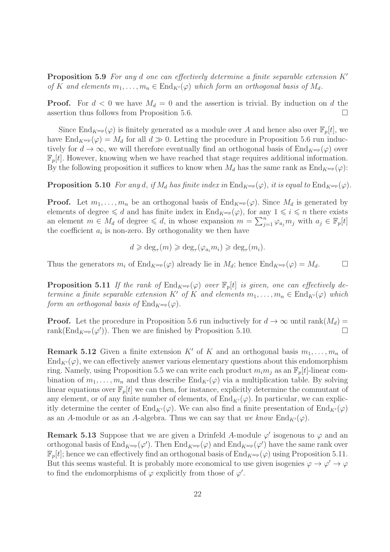**Proposition 5.9** For any d one can effectively determine a finite separable extension  $K'$ of K and elements  $m_1, \ldots, m_n \in \text{End}_{K'}(\varphi)$  which form an orthogonal basis of  $M_d$ .

**Proof.** For  $d < 0$  we have  $M_d = 0$  and the assertion is trivial. By induction on d the assertion thus follows from Proposition 5.6.

Since  $\text{End}_{K^{\text{sep}}}(\varphi)$  is finitely generated as a module over A and hence also over  $\mathbb{F}_p[t]$ , we have  $\text{End}_{K^{\text{sep}}}(\varphi) = M_d$  for all  $d \gg 0$ . Letting the procedure in Proposition 5.6 run inductively for  $d \to \infty$ , we will therefore eventually find an orthogonal basis of End<sub>Ksep</sub>( $\varphi$ ) over  $\mathbb{F}_p[t]$ . However, knowing when we have reached that stage requires additional information. By the following proposition it suffices to know when  $M_d$  has the same rank as  $\text{End}_{K^{\text{sep}}}(\varphi)$ :

**Proposition 5.10** For any d, if  $M_d$  has finite index in  $\text{End}_{K^{\text{sep}}}(\varphi)$ , it is equal to  $\text{End}_{K^{\text{sep}}}(\varphi)$ .

**Proof.** Let  $m_1, \ldots, m_n$  be an orthogonal basis of  $\text{End}_{K^{\text{sep}}}(\varphi)$ . Since  $M_d$  is generated by elements of degree  $\leq d$  and has finite index in End<sub>Ksep</sub>( $\varphi$ ), for any  $1 \leq i \leq n$  there exists an element  $m \in M_d$  of degree  $\leq d$ , in whose expansion  $m = \sum_{j=1}^n \varphi_{a_j} m_j$  with  $a_j \in \mathbb{F}_p[t]$ the coefficient  $a_i$  is non-zero. By orthogonality we then have

$$
d \geqslant \deg_{\tau}(m) \geqslant \deg_{\tau}(\varphi_{a_i} m_i) \geqslant \deg_{\tau}(m_i).
$$

Thus the generators  $m_i$  of  $\text{End}_{K^{\text{sep}}}(\varphi)$  already lie in  $M_d$ ; hence  $\text{End}_{K^{\text{sep}}}(\varphi) = M_d$ .

**Proposition 5.11** If the rank of  $\text{End}_{K^{\text{sep}}}(\varphi)$  over  $\mathbb{F}_p[t]$  is given, one can effectively determine a finite separable extension K' of K and elements  $m_1, \ldots, m_n \in \text{End}_{K'}(\varphi)$  which form an orthogonal basis of  $\text{End}_{K^{\text{sep}}}(\varphi)$ .

**Proof.** Let the procedure in Proposition 5.6 run inductively for  $d \to \infty$  until rank $(M_d)$  = rank(End<sub>Ksep</sub>( $\varphi'$ )). Then we are finished by Proposition 5.10.

**Remark 5.12** Given a finite extension K' of K and an orthogonal basis  $m_1, \ldots, m_n$  of  $\text{End}_{K'}(\varphi)$ , we can effectively answer various elementary questions about this endomorphism ring. Namely, using Proposition 5.5 we can write each product  $m_i m_j$  as an  $\mathbb{F}_p[t]$ -linear combination of  $m_1, \ldots, m_n$  and thus describe  $\text{End}_{K'}(\varphi)$  via a multiplication table. By solving linear equations over  $\mathbb{F}_p[t]$  we can then, for instance, explicitly determine the commutant of any element, or of any finite number of elements, of  $\text{End}_{K'}(\varphi)$ . In particular, we can explicitly determine the center of  $\text{End}_{K'}(\varphi)$ . We can also find a finite presentation of  $\text{End}_{K'}(\varphi)$ as an A-module or as an A-algebra. Thus we can say that we know  $\text{End}_{K'}(\varphi)$ .

**Remark 5.13** Suppose that we are given a Drinfeld A-module  $\varphi'$  isogenous to  $\varphi$  and an orthogonal basis of  $\text{End}_{K^{\text{sep}}}(\varphi')$ . Then  $\text{End}_{K^{\text{sep}}}(\varphi)$  and  $\text{End}_{K^{\text{sep}}}(\varphi')$  have the same rank over  $\mathbb{F}_p[t]$ ; hence we can effectively find an orthogonal basis of  $\text{End}_{K^{\text{sep}}}(\varphi)$  using Proposition 5.11. But this seems wasteful. It is probably more economical to use given isogenies  $\varphi \to \varphi' \to \varphi$ to find the endomorphisms of  $\varphi$  explicitly from those of  $\varphi'$ .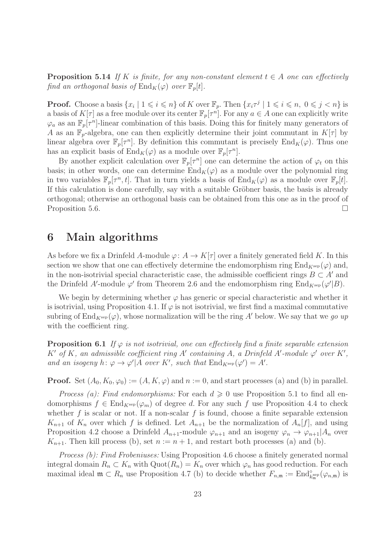**Proposition 5.14** If K is finite, for any non-constant element  $t \in A$  one can effectively find an orthogonal basis of  $\text{End}_K(\varphi)$  over  $\mathbb{F}_p[t]$ .

**Proof.** Choose a basis  $\{x_i \mid 1 \leq i \leq n\}$  of K over  $\mathbb{F}_p$ . Then  $\{x_i \tau^j \mid 1 \leq i \leq n, 0 \leq j \leq n\}$  is a basis of  $K[\tau]$  as a free module over its center  $\mathbb{F}_p[\tau^n]$ . For any  $a \in A$  one can explicitly write  $\varphi_a$  as an  $\mathbb{F}_p[\tau^n]$ -linear combination of this basis. Doing this for finitely many generators of A as an  $\mathbb{F}_p$ -algebra, one can then explicitly determine their joint commutant in  $K[\tau]$  by linear algebra over  $\mathbb{F}_p[\tau^n]$ . By definition this commutant is precisely  $\text{End}_K(\varphi)$ . Thus one has an explicit basis of  $\text{End}_K(\varphi)$  as a module over  $\mathbb{F}_p[\tau^n]$ .

By another explicit calculation over  $\mathbb{F}_p[\tau^n]$  one can determine the action of  $\varphi_t$  on this basis; in other words, one can determine  $\text{End}_K(\varphi)$  as a module over the polynomial ring in two variables  $\mathbb{F}_p[\tau^n, t]$ . That in turn yields a basis of  $\text{End}_K(\varphi)$  as a module over  $\mathbb{F}_p[t]$ . If this calculation is done carefully, say with a suitable Gröbner basis, the basis is already orthogonal; otherwise an orthogonal basis can be obtained from this one as in the proof of Proposition 5.6.

# 6 Main algorithms

As before we fix a Drinfeld A-module  $\varphi: A \to K[\tau]$  over a finitely generated field K. In this section we show that one can effectively determine the endomorphism ring  $\text{End}_{K^{\text{sep}}}(\varphi)$  and, in the non-isotrivial special characteristic case, the admissible coefficient rings  $B \subset A'$  and the Drinfeld A'-module  $\varphi'$  from Theorem 2.6 and the endomorphism ring  $\text{End}_{K^{\text{sep}}}(\varphi'|B)$ .

We begin by determining whether  $\varphi$  has generic or special characteristic and whether it is isotrivial, using Proposition 4.1. If  $\varphi$  is not isotrivial, we first find a maximal commutative subring of  $\text{End}_{K^{\text{sep}}}(\varphi)$ , whose normalization will be the ring A' below. We say that we go up with the coefficient ring.

**Proposition 6.1** If  $\varphi$  is not isotrivial, one can effectively find a finite separable extension K' of K, an admissible coefficient ring A' containing A, a Drinfeld A'-module  $\varphi'$  over K', and an isogeny h:  $\varphi \to \varphi' | A$  over K', such that  $\text{End}_{K^{\text{sep}}}(\varphi') = A'$ .

**Proof.** Set  $(A_0, K_0, \varphi_0) := (A, K, \varphi)$  and  $n := 0$ , and start processes (a) and (b) in parallel.

*Process (a): Find endomorphisms:* For each  $d \geq 0$  use Proposition 5.1 to find all endomorphisms  $f \in End_{K^{\text{sep}}}(\varphi_m)$  of degree d. For any such f use Proposition 4.4 to check whether f is scalar or not. If a non-scalar f is found, choose a finite separable extension  $K_{n+1}$  of  $K_n$  over which f is defined. Let  $A_{n+1}$  be the normalization of  $A_n[f]$ , and using Proposition 4.2 choose a Drinfeld  $A_{n+1}$ -module  $\varphi_{n+1}$  and an isogeny  $\varphi_n \to \varphi_{n+1} | A_n$  over  $K_{n+1}$ . Then kill process (b), set  $n := n+1$ , and restart both processes (a) and (b).

Process (b): Find Frobeniuses: Using Proposition 4.6 choose a finitely generated normal integral domain  $R_n \subset K_n$  with  $\mathrm{Quot}(R_n) = K_n$  over which  $\varphi_n$  has good reduction. For each maximal ideal  $\mathfrak{m} \subset R_n$  use Proposition 4.7 (b) to decide whether  $F_{n,\mathfrak{m}} := \text{End}_{k_{\mathfrak{m}}^{\text{sep}}}^{\circ}(\varphi_{n,\mathfrak{m}})$  is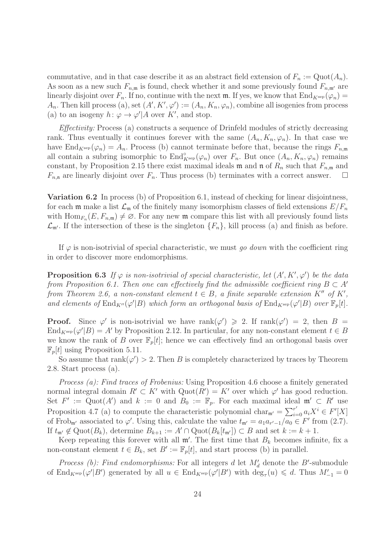commutative, and in that case describe it as an abstract field extension of  $F_n := \text{Quot}(A_n)$ . As soon as a new such  $F_{n,m}$  is found, check whether it and some previously found  $F_{n,m'}$  are linearly disjoint over  $F_n$ . If no, continue with the next m. If yes, we know that  $\text{End}_{K^{\text{sep}}}(\varphi_n) =$  $A_n$ . Then kill process (a), set  $(A', K', \varphi') := (A_n, K_n, \varphi_n)$ , combine all isogenies from process (a) to an isogeny  $h: \varphi \to \varphi' | A$  over K', and stop.

Effectivity: Process (a) constructs a sequence of Drinfeld modules of strictly decreasing rank. Thus eventually it continues forever with the same  $(A_n, K_n, \varphi_n)$ . In that case we have  $\text{End}_{K^{\text{sep}}}(\varphi_n) = A_n$ . Process (b) cannot terminate before that, because the rings  $F_{n,\mathfrak{m}}$ all contain a subring isomorphic to  $\text{End}_{K^{\text{sep}}}^{\circ}(\varphi_n)$  over  $F_n$ . But once  $(A_n, K_n, \varphi_n)$  remains constant, by Proposition 2.15 there exist maximal ideals  $\mathfrak{m}$  and  $\mathfrak{n}$  of  $R_n$  such that  $F_{n,\mathfrak{m}}$  and  $F_{n,n}$  are linearly disjoint over  $F_n$ . Thus process (b) terminates with a correct answer.  $\Box$ 

Variation 6.2 In process (b) of Proposition 6.1, instead of checking for linear disjointness, for each m make a list  $\mathcal{L}_{m}$  of the finitely many isomorphism classes of field extensions  $E/F_n$ with  $\text{Hom}_{F_n}(E, F_{n,m}) \neq \emptyset$ . For any new  $\mathfrak m$  compare this list with all previously found lists  $\mathcal{L}_{m'}$ . If the intersection of these is the singleton  $\{F_n\}$ , kill process (a) and finish as before.

If  $\varphi$  is non-isotrivial of special characteristic, we must go down with the coefficient ring in order to discover more endomorphisms.

**Proposition 6.3** If  $\varphi$  is non-isotrivial of special characteristic, let  $(A', K', \varphi')$  be the data from Proposition 6.1. Then one can effectively find the admissible coefficient ring  $B \subset A'$ from Theorem 2.6, a non-constant element  $t \in B$ , a finite separable extension  $K''$  of  $K'$ , and elements of  $\text{End}_{K''}(\varphi'|B)$  which form an orthogonal basis of  $\text{End}_{K^{\text{sep}}}(\varphi'|B)$  over  $\mathbb{F}_p[t]$ .

**Proof.** Since  $\varphi'$  is non-isotrivial we have rank $(\varphi') \geq 2$ . If rank $(\varphi') = 2$ , then  $B =$  $\text{End}_{K^{\text{sep}}}(\varphi'|B) = A'$  by Proposition 2.12. In particular, for any non-constant element  $t \in B$ we know the rank of B over  $\mathbb{F}_p[t]$ ; hence we can effectively find an orthogonal basis over  $\mathbb{F}_p[t]$  using Proposition 5.11.

So assume that  $rank(\varphi') > 2$ . Then B is completely characterized by traces by Theorem 2.8. Start process (a).

Process (a): Find traces of Frobenius: Using Proposition 4.6 choose a finitely generated normal integral domain  $R' \subset K'$  with  $\text{Quot}(R') = K'$  over which  $\varphi'$  has good reduction. Set  $F' := \mathrm{Quot}(A')$  and  $k := 0$  and  $B_0 := \mathbb{F}_p$ . For each maximal ideal  $\mathfrak{m}' \subset R'$  use Proposition 4.7 (a) to compute the characteristic polynomial char<sub>m'</sub> =  $\sum_{i=0}^{r'} a_i X^i \in F'[X]$ of Frob<sub>m'</sub> associated to  $\varphi'$ . Using this, calculate the value  $t_{\mathfrak{m}'} = a_1 a_{r'-1}/a_0 \in F'$  from (2.7). If  $t_{\mathfrak{m}'} \notin \mathrm{Quot}(B_k)$ , determine  $B_{k+1} := A' \cap \mathrm{Quot}(B_k[t_{\mathfrak{m}'}]) \subset B$  and set  $k := k+1$ .

Keep repeating this forever with all  $\mathfrak{m}'$ . The first time that  $B_k$  becomes infinite, fix a non-constant element  $t \in B_k$ , set  $B' := \mathbb{F}_p[t]$ , and start process (b) in parallel.

*Process (b): Find endomorphisms:* For all integers d let  $M'_d$  denote the B'-submodule of  $\text{End}_{K^{\text{sep}}}(\varphi'|B')$  generated by all  $u \in \text{End}_{K^{\text{sep}}}(\varphi'|B')$  with  $\deg_{\tau}(u) \leq d$ . Thus  $M'_{-1} = 0$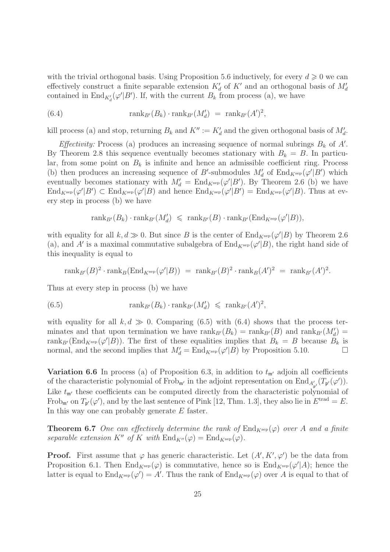with the trivial orthogonal basis. Using Proposition 5.6 inductively, for every  $d \geqslant 0$  we can effectively construct a finite separable extension  $K'_{d}$  of  $K'$  and an orthogonal basis of  $M'_{d}$ contained in  $\text{End}_{K'_d}(\varphi'|B')$ . If, with the current  $B_k$  from process (a), we have

(6.4) 
$$
\text{rank}_{B'}(B_k) \cdot \text{rank}_{B'}(M'_d) = \text{rank}_{B'}(A')^2,
$$

kill process (a) and stop, returning  $B_k$  and  $K'' := K'_d$  and the given orthogonal basis of  $M'_d$ .

*Effectivity:* Process (a) produces an increasing sequence of normal subrings  $B_k$  of  $A'$ . By Theorem 2.8 this sequence eventually becomes stationary with  $B_k = B$ . In particular, from some point on  $B_k$  is infinite and hence an admissible coefficient ring. Process (b) then produces an increasing sequence of B'-submodules  $M'_d$  of  $\text{End}_{K^{\text{sep}}}(\varphi'|B')$  which eventually becomes stationary with  $M'_d = \text{End}_{K^{\text{sep}}}(\varphi'|B')$ . By Theorem 2.6 (b) we have  $\text{End}_{K^{\text{sep}}}(\varphi'|B') \subset \text{End}_{K^{\text{sep}}}(\varphi'|B)$  and hence  $\text{End}_{K^{\text{sep}}}(\varphi'|B') = \text{End}_{K^{\text{sep}}}(\varphi'|B)$ . Thus at every step in process (b) we have

$$
\operatorname{rank}_{B'}(B_k) \cdot \operatorname{rank}_{B'}(M'_d) \leqslant \operatorname{rank}_{B'}(B) \cdot \operatorname{rank}_{B'}(\operatorname{End}_{K^{\operatorname{sep}}}(\varphi'|B)),
$$

with equality for all  $k, d \gg 0$ . But since B is the center of  $\text{End}_{K^{\text{sep}}}(\varphi'|B)$  by Theorem 2.6 (a), and A' is a maximal commutative subalgebra of  $\text{End}_{K^{\text{sep}}}(\varphi'|B)$ , the right hand side of this inequality is equal to

$$
\operatorname{rank}_{B'}(B)^2 \cdot \operatorname{rank}_B(\operatorname{End}_{K^{\operatorname{sep}}}(\varphi'|B)) = \operatorname{rank}_{B'}(B)^2 \cdot \operatorname{rank}_B(A')^2 = \operatorname{rank}_{B'}(A')^2.
$$

Thus at every step in process (b) we have

(6.5) 
$$
\text{rank}_{B'}(B_k) \cdot \text{rank}_{B'}(M'_d) \leqslant \text{rank}_{B'}(A')^2,
$$

with equality for all  $k, d \gg 0$ . Comparing (6.5) with (6.4) shows that the process terminates and that upon termination we have  $\text{rank}_{B'}(B_k) = \text{rank}_{B'}(B)$  and  $\text{rank}_{B'}(M'_d) =$ rank<sub>B'</sub>(End<sub>K<sup>sep</sup></sub>( $\varphi'$ |B)). The first of these equalities implies that  $B_k = B$  because  $B_k$  is normal, and the second implies that  $M'_d = \text{End}_{K^{\text{sep}}}(\varphi'|B)$  by Proposition 5.10.

**Variation 6.6** In process (a) of Proposition 6.3, in addition to  $t_{m'}$  adjoin all coefficients of the characteristic polynomial of  $Frob_{m'}$  in the adjoint representation on  $\text{End}_{A'_{p'}}(T_{p'}(\varphi'))$ . Like  $t_{\mathfrak{m}'}$  these coefficients can be computed directly from the characteristic polynomial of Frob<sub>m'</sub> on  $T_{\mathfrak{p}'}(\varphi')$ , and by the last sentence of Pink [12, Thm. 1.3], they also lie in  $E^{\text{trad}} = E$ . In this way one can probably generate  $E$  faster.

**Theorem 6.7** One can effectively determine the rank of  $\text{End}_{K^{\text{sep}}}(\varphi)$  over A and a finite separable extension K'' of K with  $\text{End}_{K''}(\varphi) = \text{End}_{K^{\text{sep}}}(\varphi)$ .

**Proof.** First assume that  $\varphi$  has generic characteristic. Let  $(A', K', \varphi')$  be the data from Proposition 6.1. Then  $\text{End}_{K^{\text{sep}}}(\varphi)$  is commutative, hence so is  $\text{End}_{K^{\text{sep}}}(\varphi'|A)$ ; hence the latter is equal to  $\text{End}_{K^{\text{sep}}}(\varphi') = A'$ . Thus the rank of  $\text{End}_{K^{\text{sep}}}(\varphi)$  over A is equal to that of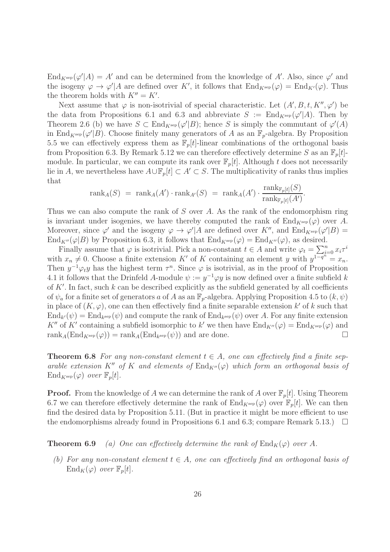$\text{End}_{K^{\text{sep}}}(\varphi'|A) = A'$  and can be determined from the knowledge of A'. Also, since  $\varphi'$  and the isogeny  $\varphi \to \varphi' | A$  are defined over K', it follows that  $\text{End}_{K^{\text{sep}}}(\varphi) = \text{End}_{K'}(\varphi)$ . Thus the theorem holds with  $K'' = K'$ .

Next assume that  $\varphi$  is non-isotrivial of special characteristic. Let  $(A', B, t, K'', \varphi')$  be the data from Propositions 6.1 and 6.3 and abbreviate  $S := \text{End}_{K^{\text{sep}}}(\varphi'|A)$ . Then by Theorem 2.6 (b) we have  $S \subset \text{End}_{K^{\text{sep}}}(\varphi'|B)$ ; hence S is simply the commutant of  $\varphi'(A)$ in End<sub>K</sub>sep( $\varphi'|B$ ). Choose finitely many generators of A as an  $\mathbb{F}_p$ -algebra. By Proposition 5.5 we can effectively express them as  $\mathbb{F}_p[t]$ -linear combinations of the orthogonal basis from Proposition 6.3. By Remark 5.12 we can therefore effectively determine S as an  $\mathbb{F}_p[t]$ module. In particular, we can compute its rank over  $\mathbb{F}_p[t]$ . Although t does not necessarily lie in A, we nevertheless have  $A\cup\mathbb{F}_p[t]\subset A'\subset S$ . The multiplicativity of ranks thus implies that

$$
\text{rank}_A(S) = \text{rank}_A(A') \cdot \text{rank}_{A'}(S) = \text{rank}_A(A') \cdot \frac{\text{rank}_{\mathbb{F}_p[t]}(S)}{\text{rank}_{\mathbb{F}_p[t]}(A')}
$$

.

Thus we can also compute the rank of S over A. As the rank of the endomorphism ring is invariant under isogenies, we have thereby computed the rank of  $\text{End}_{K^{\text{sep}}}(\varphi)$  over A. Moreover, since  $\varphi'$  and the isogeny  $\varphi \to \varphi' | A$  are defined over K'', and  $\text{End}_{K^{\text{sep}}}(\varphi' | B) =$  $\text{End}_{K''}(\varphi|B)$  by Proposition 6.3, it follows that  $\text{End}_{K^{\text{sep}}}(\varphi) = \text{End}_{K''}(\varphi)$ , as desired.

Finally assume that  $\varphi$  is isotrivial. Pick a non-constant  $t \in A$  and write  $\varphi_t = \sum_{i=0}^n x_i \tau^i$ with  $x_n \neq 0$ . Choose a finite extension K' of K containing an element y with  $y^{1-\overline{q}^n} = x_n$ . Then  $y^{-1}\varphi_t y$  has the highest term  $\tau^n$ . Since  $\varphi$  is isotrivial, as in the proof of Proposition 4.1 it follows that the Drinfeld A-module  $\psi := y^{-1} \varphi y$  is now defined over a finite subfield k of  $K'$ . In fact, such k can be described explicitly as the subfield generated by all coefficients of  $\psi_a$  for a finite set of generators a of A as an  $\mathbb{F}_p$ -algebra. Applying Proposition 4.5 to  $(k, \psi)$ in place of  $(K, \varphi)$ , one can then effectively find a finite separable extension k' of k such that  $\text{End}_{k'}(\psi) = \text{End}_{k^{\text{sep}}}(\psi)$  and compute the rank of  $\text{End}_{k^{\text{sep}}}(\psi)$  over A. For any finite extension K'' of K' containing a subfield isomorphic to k' we then have  $\text{End}_{K''}(\varphi) = \text{End}_{K^{\text{sep}}}(\varphi)$  and rank<sub>A</sub>(End<sub>K</sub>sep( $\varphi$ )) = rank<sub>A</sub>(End<sub>k</sub>sep( $\psi$ )) and are done.

**Theorem 6.8** For any non-constant element  $t \in A$ , one can effectively find a finite separable extension K'' of K and elements of  $\text{End}_{K''}(\varphi)$  which form an orthogonal basis of  $\text{End}_{K^{\text{sep}}}(\varphi)$  over  $\mathbb{F}_p[t]$ .

**Proof.** From the knowledge of A we can determine the rank of A over  $\mathbb{F}_p[t]$ . Using Theorem 6.7 we can therefore effectively determine the rank of  $\text{End}_{K^{\text{sep}}}(\varphi)$  over  $\mathbb{F}_p[t]$ . We can then find the desired data by Proposition 5.11. (But in practice it might be more efficient to use the endomorphisms already found in Propositions 6.1 and 6.3; compare Remark 5.13.)  $\Box$ 

**Theorem 6.9** (a) One can effectively determine the rank of  $\text{End}_K(\varphi)$  over A.

(b) For any non-constant element  $t \in A$ , one can effectively find an orthogonal basis of  $\text{End}_K(\varphi)$  over  $\mathbb{F}_p[t]$ .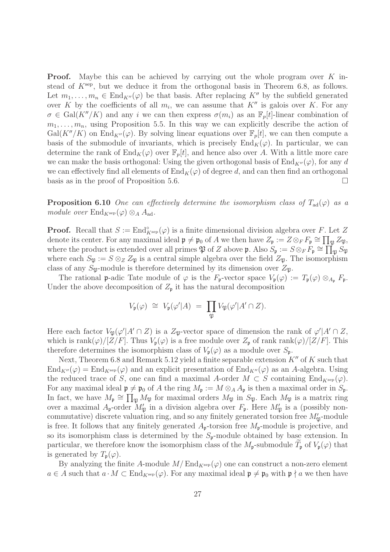**Proof.** Maybe this can be achieved by carrying out the whole program over  $K$  instead of  $K<sup>sep</sup>$ , but we deduce it from the orthogonal basis in Theorem 6.8, as follows. Let  $m_1, \ldots, m_n \in \text{End}_{K''}(\varphi)$  be that basis. After replacing K'' by the subfield generated over K by the coefficients of all  $m_i$ , we can assume that  $K''$  is galois over K. For any  $\sigma \in \text{Gal}(K''/K)$  and any i we can then express  $\sigma(m_i)$  as an  $\mathbb{F}_p[t]$ -linear combination of  $m_1, \ldots, m_n$ , using Proposition 5.5. In this way we can explicitly describe the action of  $Gal(K''/K)$  on  $End_{K''}(\varphi)$ . By solving linear equations over  $\mathbb{F}_p[t]$ , we can then compute a basis of the submodule of invariants, which is precisely  $\text{End}_K(\varphi)$ . In particular, we can determine the rank of  $\text{End}_K(\varphi)$  over  $\mathbb{F}_p[t]$ , and hence also over A. With a little more care we can make the basis orthogonal: Using the given orthogonal basis of  $\text{End}_{K''}(\varphi)$ , for any d we can effectively find all elements of  $\text{End}_K(\varphi)$  of degree d, and can then find an orthogonal basis as in the proof of Proposition 5.6.

**Proposition 6.10** One can effectively determine the isomorphism class of  $T_{ad}(\varphi)$  as a module over  $\text{End}_{K^{\text{sep}}}(\varphi) \otimes_A A_{\text{ad}}$ .

**Proof.** Recall that  $S := \text{End}_{K^{\text{sep}}}^{\circ}(\varphi)$  is a finite dimensional division algebra over F. Let Z denote its center. For any maximal ideal  $\mathfrak{p} \neq \mathfrak{p}_0$  of A we then have  $Z_{\mathfrak{p}} := Z \otimes_F F_{\mathfrak{p}} \cong \prod_{\mathfrak{P}} Z_{\mathfrak{P}},$ where the product is extended over all primes  $\mathfrak P$  of Z above  $\mathfrak p$ . Also  $S_{\mathfrak p} := S \otimes_F F_{\mathfrak p} \cong \prod_{\mathfrak P}^{\sim} S_{\mathfrak P}$ where each  $S_{\mathfrak{P}} := S \otimes_Z Z_{\mathfrak{P}}$  is a central simple algebra over the field  $Z_{\mathfrak{P}}$ . The isomorphism class of any  $S_{\mathfrak{P}}$ -module is therefore determined by its dimension over  $Z_{\mathfrak{P}}$ .

The rational p-adic Tate module of  $\varphi$  is the  $F_{\mathfrak{p}}$ -vector space  $V_{\mathfrak{p}}(\varphi) := T_{\mathfrak{p}}(\varphi) \otimes_{A_{\mathfrak{p}}} F_{\mathfrak{p}}$ . Under the above decomposition of  $Z_{\mathfrak{p}}$  it has the natural decomposition

$$
V_{\mathfrak{p}}(\varphi) \ \cong \ V_{\mathfrak{p}}(\varphi'|A) \ = \ \prod_{\mathfrak{P}} V_{\mathfrak{P}}(\varphi'|A' \cap Z).
$$

Here each factor  $V_{\mathfrak{P}}(\varphi'|A' \cap Z)$  is a  $Z_{\mathfrak{P}}$ -vector space of dimension the rank of  $\varphi'|A' \cap Z$ , which is rank $(\varphi)/[Z/F]$ . Thus  $V_{\mathfrak{p}}(\varphi)$  is a free module over  $Z_{\mathfrak{p}}$  of rank rank $(\varphi)/[Z/F]$ . This therefore determines the isomorphism class of  $V_{\mathfrak{p}}(\varphi)$  as a module over  $S_{\mathfrak{p}}$ .

Next, Theorem 6.8 and Remark 5.12 yield a finite separable extension  $K''$  of  $K$  such that  $\text{End}_{K''}(\varphi) = \text{End}_{K^{\text{sep}}}(\varphi)$  and an explicit presentation of  $\text{End}_{K''}(\varphi)$  as an A-algebra. Using the reduced trace of S, one can find a maximal A-order  $M \subset S$  containing  $\text{End}_{K^{\text{sep}}}(\varphi)$ . For any maximal ideal  $\mathfrak{p} \neq \mathfrak{p}_0$  of A the ring  $M_{\mathfrak{p}} := M \otimes_A A_{\mathfrak{p}}$  is then a maximal order in  $S_{\mathfrak{p}}$ . In fact, we have  $M_{\mathfrak{p}} \cong \prod_{\mathfrak{P}} M_{\mathfrak{P}}$  for maximal orders  $M_{\mathfrak{P}}$  in  $S_{\mathfrak{P}}$ . Each  $M_{\mathfrak{P}}$  is a matrix ring over a maximal  $A_{\mathfrak{p}}$ -order  $M'_{\mathfrak{P}}$  in a division algebra over  $F_{\mathfrak{p}}$ . Here  $M'_{\mathfrak{P}}$  is a (possibly noncommutative) discrete valuation ring, and so any finitely generated torsion free  $M'_{\mathfrak{P}}$ -module is free. It follows that any finitely generated  $A_{p}$ -torsion free  $M_{p}$ -module is projective, and so its isomorphism class is determined by the  $S_p$ -module obtained by base extension. In particular, we therefore know the isomorphism class of the  $M_{p}$ -submodule  $T_{p}$  of  $V_{p}(\varphi)$  that is generated by  $T_{\mathfrak{p}}(\varphi)$ .

By analyzing the finite A-module  $M/\text{End}_{K^{\text{sep}}}(\varphi)$  one can construct a non-zero element  $a \in A$  such that  $a \cdot M \subset \text{End}_{K^{\text{sep}}}(\varphi)$ . For any maximal ideal  $\mathfrak{p} \neq \mathfrak{p}_0$  with  $\mathfrak{p} \nmid a$  we then have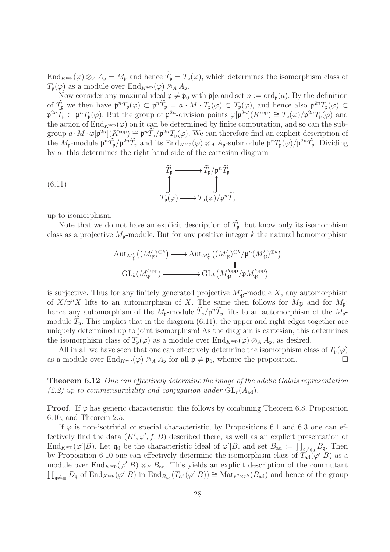$\text{End}_{K^{\text{sep}}}(\varphi) \otimes_A A_{\mathfrak{p}} = M_{\mathfrak{p}}$  and hence  $\widetilde{T}_{\mathfrak{p}} = T_{\mathfrak{p}}(\varphi)$ , which determines the isomorphism class of  $T_{\mathfrak{p}}(\varphi)$  as a module over  $\text{End}_{K^{\text{sep}}}(\varphi) \otimes_A A_{\mathfrak{p}}$ .

Now consider any maximal ideal  $\mathfrak{p} \neq \mathfrak{p}_0$  with  $\mathfrak{p}|a$  and set  $n := \text{ord}_{\mathfrak{p}}(a)$ . By the definition of  $T_{\mathfrak{p}}$  we then have  $\mathfrak{p}^n T_{\mathfrak{p}}(\varphi) \subset \mathfrak{p}^n T_{\mathfrak{p}} = a \cdot M \cdot T_{\mathfrak{p}}(\varphi) \subset T_{\mathfrak{p}}(\varphi)$ , and hence also  $\mathfrak{p}^{2n} T_{\mathfrak{p}}(\varphi) \subset$  $\mathfrak{p}^{2n}\widetilde{T}_{\mathfrak{p}} \subset \mathfrak{p}^n T_{\mathfrak{p}}(\varphi)$ . But the group of  $\mathfrak{p}^{2n}$ -division points  $\varphi[\mathfrak{p}^{2n}](K^{\text{sep}}) \cong T_{\mathfrak{p}}(\varphi)/\mathfrak{p}^{2n} T_{\mathfrak{p}}(\varphi)$  and the action of  $\text{End}_{K^{\text{sep}}}(\varphi)$  on it can be determined by finite computation, and so can the subgroup  $a \cdot M \cdot \varphi[\mathfrak{p}^{2n}](K^{\text{sep}}) \supseteq \mathfrak{p}^n \widetilde{T}_{\mathfrak{p}}/\mathfrak{p}^{2n} T_{\mathfrak{p}}(\varphi)$ . We can therefore find an explicit description of the  $M_{\mathfrak{p}}$ -module  $\mathfrak{p}^n T_{\mathfrak{p}} / \mathfrak{p}^{2n} T_{\mathfrak{p}}$  and its  $\text{End}_{K^{\text{sep}}}(\varphi) \otimes_A A_{\mathfrak{p}}$ -submodule  $\mathfrak{p}^n T_{\mathfrak{p}}(\varphi) / \mathfrak{p}^{2n} T_{\mathfrak{p}}$ . Dividing by a, this determines the right hand side of the cartesian diagram

(6.11)  
\n
$$
\tilde{T}_{\mathfrak{p}} \longrightarrow \tilde{T}_{\mathfrak{p}}/\mathfrak{p}^{n} \tilde{T}_{\mathfrak{p}}
$$
\n
$$
\downarrow \qquad \qquad \int_{T_{\mathfrak{p}}(\varphi)} \longrightarrow T_{\mathfrak{p}}(\varphi)/\mathfrak{p}^{n} \tilde{T}_{\mathfrak{p}}
$$

up to isomorphism.

Note that we do not have an explicit description of  $\widetilde{T}_{\mathfrak{p}}$ , but know only its isomorphism class as a projective  $M_{p}$ -module. But for any positive integer k the natural homomorphism

$$
\mathrm{Aut}_{M'_{\mathfrak{P}}}((M'_{\mathfrak{P}})^{\oplus k}) \longrightarrow \mathrm{Aut}_{M'_{\mathfrak{P}}}((M'_{\mathfrak{P}})^{\oplus k}/\mathfrak{p}^n(M'_{\mathfrak{P}})^{\oplus k})
$$
  
\n
$$
\parallel \qquad \qquad \parallel
$$
  
\n
$$
\mathrm{GL}_k(M'^{\mathrm{opp}}_{\mathfrak{P}}) \longrightarrow \mathrm{GL}_k(M'^{\mathrm{opp}}_{\mathfrak{P}}/\mathfrak{p}M'^{\mathrm{opp}}_{\mathfrak{P}})
$$

is surjective. Thus for any finitely generated projective  $M'_{\mathfrak{P}}$ -module X, any automorphism of  $X/\mathfrak{p}^n X$  lifts to an automorphism of X. The same then follows for  $M_{\mathfrak{P}}$  and for  $M_{\mathfrak{p}}$ ; hence any automorphism of the  $M_{\mathfrak{p}}$ -module  $T_{\mathfrak{p}}/\mathfrak{p}^nT_{\mathfrak{p}}$  lifts to an automorphism of the  $M_{\mathfrak{p}}$ module  $T_p$ . This implies that in the diagram (6.11), the upper and right edges together are uniquely determined up to joint isomorphism! As the diagram is cartesian, this determines the isomorphism class of  $T_p(\varphi)$  as a module over  $\text{End}_{K^{\text{sep}}}(\varphi) \otimes_A A_p$ , as desired.

All in all we have seen that one can effectively determine the isomorphism class of  $T_p(\varphi)$ as a module over  $\text{End}_{K^{\text{sep}}}(\varphi) \otimes_A A_{\mathfrak{p}}$  for all  $\mathfrak{p} \neq \mathfrak{p}_0$ , whence the proposition.

Theorem 6.12 One can effectively determine the image of the adelic Galois representation (2.2) up to commensurability and conjugation under  $GL_r(A_{ad})$ .

**Proof.** If  $\varphi$  has generic characteristic, this follows by combining Theorem 6.8, Proposition 6.10, and Theorem 2.5.

If  $\varphi$  is non-isotrivial of special characteristic, by Propositions 6.1 and 6.3 one can effectively find the data  $(K', \varphi', f, B)$  described there, as well as an explicit presentation of  $\text{End}_{K^{\text{sep}}}(\varphi'|B)$ . Let  $\mathfrak{q}_0$  be the characteristic ideal of  $\varphi'|B$ , and set  $B_{\text{ad}} := \prod_{\mathfrak{q} \neq \mathfrak{q}_0} B_{\mathfrak{q}}$ . Then by Proposition 6.10 one can effectively determine the isomorphism class of  $T'_{ad}(\varphi'|B)$  as a module over  $\text{End}_{K^{\text{sep}}}(\varphi'|B) \otimes_B B_{\text{ad}}$ . This yields an explicit description of the commutant  $\prod_{\mathfrak{q}\neq\mathfrak{q}_0} D_{\mathfrak{q}}$  of  $\text{End}_{K^{\text{sep}}}(\varphi'|B)$  in  $\text{End}_{B_{\text{ad}}}(T_{\text{ad}}(\varphi'|B)) \cong \text{Mat}_{r''\times r''}(B_{\text{ad}})$  and hence of the group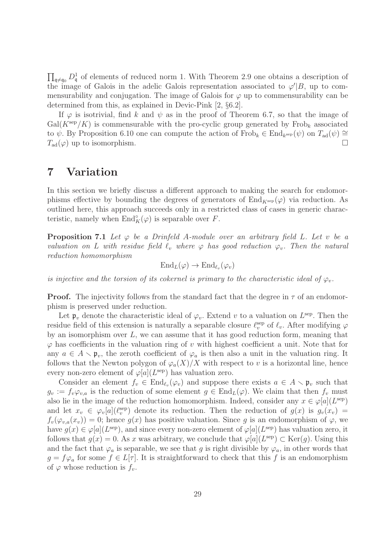$\prod_{\mathfrak{q}\neq\mathfrak{q}_0} D^1_{\mathfrak{q}}$  of elements of reduced norm 1. With Theorem 2.9 one obtains a description of the image of Galois in the adelic Galois representation associated to  $\varphi'|B$ , up to commensurability and conjugation. The image of Galois for  $\varphi$  up to commensurability can be determined from this, as explained in Devic-Pink [2, §6.2].

If  $\varphi$  is isotrivial, find k and  $\psi$  as in the proof of Theorem 6.7, so that the image of  $Gal(K<sup>sep</sup>/K)$  is commensurable with the pro-cyclic group generated by Frob<sub>k</sub> associated to  $\psi$ . By Proposition 6.10 one can compute the action of Frob<sub>k</sub> ∈ End<sub>ksep</sub>( $\psi$ ) on  $T_{ad}(\psi) \cong$  $T_{\text{ad}}(\varphi)$  up to isomorphism.

# 7 Variation

In this section we briefly discuss a different approach to making the search for endomorphisms effective by bounding the degrees of generators of End<sub>Ksep</sub>( $\varphi$ ) via reduction. As outlined here, this approach succeeds only in a restricted class of cases in generic characteristic, namely when  $\text{End}_K^{\circ}(\varphi)$  is separable over F.

**Proposition 7.1** Let  $\varphi$  be a Drinfeld A-module over an arbitrary field L. Let v be a valuation on L with residue field  $\ell_v$  where  $\varphi$  has good reduction  $\varphi_v$ . Then the natural reduction homomorphism

$$
\mathrm{End}_L(\varphi) \to \mathrm{End}_{\ell_v}(\varphi_v)
$$

is injective and the torsion of its cokernel is primary to the characteristic ideal of  $\varphi_v$ .

**Proof.** The injectivity follows from the standard fact that the degree in  $\tau$  of an endomorphism is preserved under reduction.

Let  $\mathfrak{p}_v$  denote the characteristic ideal of  $\varphi_v$ . Extend v to a valuation on  $L^{\text{sep}}$ . Then the residue field of this extension is naturally a separable closure  $\ell_v^{\text{sep}}$  of  $\ell_v$ . After modifying  $\varphi$ by an isomorphism over L, we can assume that it has good reduction form, meaning that  $\varphi$  has coefficients in the valuation ring of v with highest coefficient a unit. Note that for any  $a \in A \setminus \mathfrak{p}_v$ , the zeroth coefficient of  $\varphi_a$  is then also a unit in the valuation ring. It follows that the Newton polygon of  $\varphi_a(X)/X$  with respect to v is a horizontal line, hence every non-zero element of  $\varphi[a](L^{\text{sep}})$  has valuation zero.

Consider an element  $f_v \in \text{End}_{\ell_v}(\varphi_v)$  and suppose there exists  $a \in A \setminus \mathfrak{p}_v$  such that  $g_v := f_v \varphi_{v,a}$  is the reduction of some element  $g \in \text{End}_L(\varphi)$ . We claim that then  $f_v$  must also lie in the image of the reduction homomorphism. Indeed, consider any  $x \in \varphi[a](L^{\text{sep}})$ and let  $x_v \in \varphi_v[a](\ell_v^{\text{sep}})$  denote its reduction. Then the reduction of  $g(x)$  is  $g_v(x_v)$  =  $f_v(\varphi_{v,a}(x_v)) = 0$ ; hence  $g(x)$  has positive valuation. Since g is an endomorphism of  $\varphi$ , we have  $g(x) \in \varphi[a](L^{\text{sep}})$ , and since every non-zero element of  $\varphi[a](L^{\text{sep}})$  has valuation zero, it follows that  $g(x) = 0$ . As x was arbitrary, we conclude that  $\varphi[a](L^{\text{sep}}) \subset \text{Ker}(g)$ . Using this and the fact that  $\varphi_a$  is separable, we see that g is right divisible by  $\varphi_a$ , in other words that  $g = f \varphi_a$  for some  $f \in L[\tau]$ . It is straightforward to check that this f is an endomorphism of  $\varphi$  whose reduction is  $f_v$ .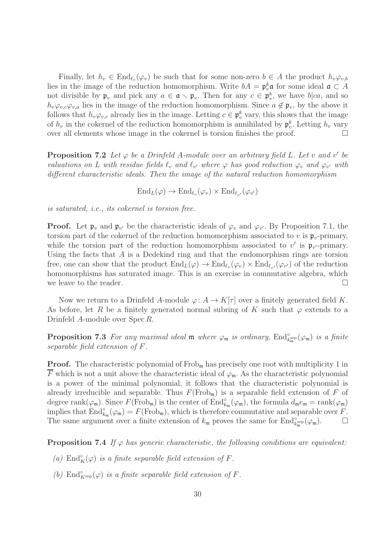Finally, let  $h_v \in \text{End}_{\ell_v}(\varphi_v)$  be such that for some non-zero  $b \in A$  the product  $h_v \varphi_{v,b}$ lies in the image of the reduction homomorphism. Write  $bA = \mathfrak{p}_v^k \mathfrak{a}$  for some ideal  $\mathfrak{a} \subset A$ not divisible by  $\mathfrak{p}_v$  and pick any  $a \in \mathfrak{a} \setminus \mathfrak{p}_v$ . Then for any  $c \in \mathfrak{p}_v^k$ , we have  $b|ca$ , and so  $h_v\varphi_{v,c}\varphi_{v,a}$  lies in the image of the reduction homomorphism. Since  $a \notin \mathfrak{p}_v$ , by the above it follows that  $h_v\varphi_{v,c}$  already lies in the image. Letting  $c \in \mathfrak{p}_v^k$  vary, this shows that the image of  $h_v$  in the cokernel of the reduction homomorphism is annihilated by  $\mathfrak{p}_v^k$ . Letting  $h_v$  vary over all elements whose image in the cokernel is torsion finishes the proof.  $\Box$ 

**Proposition 7.2** Let  $\varphi$  be a Drinfeld A-module over an arbitrary field L. Let v and v' be valuations on L with residue fields  $\ell_v$  and  $\ell_{v'}$  where  $\varphi$  has good reduction  $\varphi_v$  and  $\varphi_{v'}$  with different characteristic ideals. Then the image of the natural reduction homomorphism

$$
\operatorname{End}_{L}(\varphi) \to \operatorname{End}_{\ell_v}(\varphi_v) \times \operatorname{End}_{\ell_{v'}}(\varphi_{v'})
$$

is saturated, i.e., its cokernel is torsion free.

**Proof.** Let  $\mathfrak{p}_v$  and  $\mathfrak{p}_{v'}$  be the characteristic ideals of  $\varphi_v$  and  $\varphi_{v'}$ . By Proposition 7.1, the torsion part of the cokernel of the reduction homomorphism associated to v is  $\mathfrak{p}_v$ -primary, while the torsion part of the reduction homomorphism associated to  $v'$  is  $\mathfrak{p}_{v'}$ -primary. Using the facts that A is a Dedekind ring and that the endomorphism rings are torsion free, one can show that the product  $\text{End}_L(\varphi) \to \text{End}_{\ell_v}(\varphi_v) \times \text{End}_{\ell_{v'}}(\varphi_{v'})$  of the reduction homomorphisms has saturated image. This is an exercise in commutative algebra, which we leave to the reader.  $\Box$ 

Now we return to a Drinfeld A-module  $\varphi: A \to K[\tau]$  over a finitely generated field K. As before, let R be a finitely generated normal subring of K such that  $\varphi$  extends to a Drinfeld A-module over Spec R.

**Proposition 7.3** For any maximal ideal  $\mathfrak{m}$  where  $\varphi_{\mathfrak{m}}$  is ordinary,  $\text{End}_{k_{\mathfrak{m}}^{\text{sep}}}^{\circ}(\varphi_{\mathfrak{m}})$  is a finite separable field extension of F.

**Proof.** The characteristic polynomial of  $Frob_m$  has precisely one root with multiplicity 1 in  $\overline{F}$  which is not a unit above the characteristic ideal of  $\varphi_m$ . As the characteristic polynomial is a power of the minimal polynomial, it follows that the characteristic polynomial is already irreducible and separable. Thus  $F(\text{Frob}_{m})$  is a separable field extension of  $F$  of degree rank $(\varphi_m)$ . Since  $F(\text{Frob}_m)$  is the center of  $\text{End}_{k_m}^{\circ}(\varphi_m)$ , the formula  $d_m e_m = \text{rank}(\varphi_m)$ implies that  $\text{End}_{k_{\mathfrak{m}}}^{\circ}(\varphi_{\mathfrak{m}}) = F(\text{Frob}_{\mathfrak{m}})$ , which is therefore commutative and separable over F. The same argument over a finite extension of  $k_{\mathfrak{m}}$  proves the same for  $\text{End}_{k_{\mathfrak{m}}^{\text{sep}}}^{\circ}(\varphi_{\mathfrak{m}})$ .

**Proposition 7.4** If  $\varphi$  has generic characteristic, the following conditions are equivalent:

- (a)  $\text{End}_K^{\circ}(\varphi)$  is a finite separable field extension of F.
- (b) End $^{\circ}_{K^{\text{sep}}}(\varphi)$  is a finite separable field extension of F.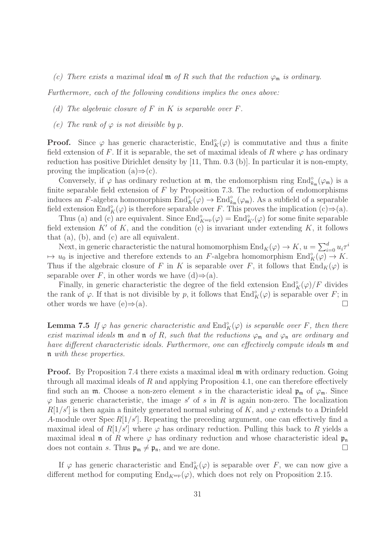(c) There exists a maximal ideal **m** of R such that the reduction  $\varphi_m$  is ordinary.

Furthermore, each of the following conditions implies the ones above:

- (d) The algebraic closure of  $F$  in  $K$  is separable over  $F$ .
- (e) The rank of  $\varphi$  is not divisible by p.

**Proof.** Since  $\varphi$  has generic characteristic,  $\text{End}_{K}^{\circ}(\varphi)$  is commutative and thus a finite field extension of F. If it is separable, the set of maximal ideals of R where  $\varphi$  has ordinary reduction has positive Dirichlet density by [11, Thm. 0.3 (b)]. In particular it is non-empty, proving the implication  $(a) \Rightarrow (c)$ .

Conversely, if  $\varphi$  has ordinary reduction at  $\mathfrak{m}$ , the endomorphism ring  $\text{End}_{k_{\mathfrak{m}}}^{\circ}(\varphi_{\mathfrak{m}})$  is a finite separable field extension of  $F$  by Proposition 7.3. The reduction of endomorphisms induces an F-algebra homomorphism  $\text{End}_{K}^{\circ}(\varphi) \to \text{End}_{k_{\mathfrak{m}}}^{\circ}(\varphi_{\mathfrak{m}})$ . As a subfield of a separable field extension  $\text{End}_K^{\circ}(\varphi)$  is therefore separable over F. This proves the implication  $(c) \Rightarrow (a)$ .

Thus (a) and (c) are equivalent. Since  $\text{End}_{K^{\text{sep}}}^{\circ}(\varphi) = \text{End}_{K'}^{\circ}(\varphi)$  for some finite separable field extension  $K'$  of K, and the condition (c) is invariant under extending K, it follows that (a), (b), and (c) are all equivalent.

Next, in generic characteristic the natural homomorphism  $\text{End}_K(\varphi) \to K$ ,  $u = \sum_{i=0}^d u_i \tau^i$  $\mapsto u_0$  is injective and therefore extends to an F-algebra homomorphism  $\text{End}_K^{\circ}(\varphi) \to K$ . Thus if the algebraic closure of F in K is separable over F, it follows that  $\text{End}_K(\varphi)$  is separable over F, in other words we have  $(d) \Rightarrow (a)$ .

Finally, in generic characteristic the degree of the field extension  $\text{End}_K^{\circ}(\varphi)/F$  divides the rank of  $\varphi$ . If that is not divisible by p, it follows that  $\text{End}_{K}^{\circ}(\varphi)$  is separable over F; in other words we have  $(e) \Rightarrow (a)$ .

**Lemma 7.5** If  $\varphi$  has generic characteristic and  $\text{End}_{K}^{\circ}(\varphi)$  is separable over F, then there exist maximal ideals **m** and **n** of R, such that the reductions  $\varphi_m$  and  $\varphi_n$  are ordinary and have different characteristic ideals. Furthermore, one can effectively compute ideals m and n with these properties.

**Proof.** By Proposition 7.4 there exists a maximal ideal m with ordinary reduction. Going through all maximal ideals of  $R$  and applying Proposition 4.1, one can therefore effectively find such an m. Choose a non-zero element s in the characteristic ideal  $\mathfrak{p}_m$  of  $\varphi_m$ . Since  $\varphi$  has generic characteristic, the image s' of s in R is again non-zero. The localization  $R[1/s']$  is then again a finitely generated normal subring of K, and  $\varphi$  extends to a Drinfeld A-module over Spec  $R[1/s']$ . Repeating the preceding argument, one can effectively find a maximal ideal of  $R[1/s']$  where  $\varphi$  has ordinary reduction. Pulling this back to R yields a maximal ideal **n** of R where  $\varphi$  has ordinary reduction and whose characteristic ideal  $\mathfrak{p}_{n}$ does not contain s. Thus  $\mathfrak{p}_{\mathfrak{m}} \neq \mathfrak{p}_{\mathfrak{n}}$ , and we are done.

If  $\varphi$  has generic characteristic and  $\text{End}_K^{\circ}(\varphi)$  is separable over F, we can now give a different method for computing  $\text{End}_{K^{\text{sep}}}(\varphi)$ , which does not rely on Proposition 2.15.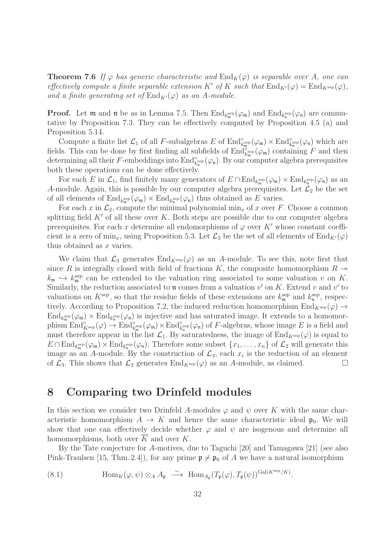**Theorem 7.6** If  $\varphi$  has generic characteristic and  $\text{End}_K(\varphi)$  is separable over A, one can effectively compute a finite separable extension K' of K such that  $\text{End}_{K'}(\varphi) = \text{End}_{K^{\text{sep}}}(\varphi)$ , and a finite generating set of  $\text{End}_{K'}(\varphi)$  as an A-module.

**Proof.** Let **m** and **n** be as in Lemma 7.5. Then  $\text{End}_{k_m^{\text{sep}}}(\varphi_m)$  and  $\text{End}_{k_n^{\text{sep}}}(\varphi_n)$  are commutative by Proposition 7.3. They can be effectively computed by Proposition 4.5 (a) and Proposition 5.14.

Compute a finite list  $\mathcal{L}_1$  of all F-subalgebras E of  $\text{End}_{k_{\mathfrak{m}}^{\text{sep}}}^{\circ}(\varphi_{\mathfrak{m}}) \times \text{End}_{k_{\mathfrak{n}}^{\text{sep}}}^{\circ}(\varphi_{\mathfrak{n}})$  which are fields. This can be done by first finding all subfields of  $\text{End}_{k_m^{\text{sep}}}^{\infty}(\varphi_m)$  containing F and then determining all their F-embeddings into  $\text{End}^{\circ}_{k_n^{\text{sep}}}(\varphi_n)$ . By our computer algebra prerequisites both these operations can be done effectively.

For each E in  $\mathcal{L}_1$ , find finitely many generators of  $E \cap \text{End}_{k_m^{\text{sep}}}(\varphi_{\mathfrak{m}}) \times \text{End}_{k_n^{\text{sep}}}(\varphi_{\mathfrak{n}})$  as an A-module. Again, this is possible by our computer algebra prerequisites. Let  $\mathcal{L}_2$  be the set of all elements of  $\text{End}_{k_m^{\text{sep}}}(\varphi_{\mathfrak{m}}) \times \text{End}_{k_n^{\text{sep}}}(\varphi_{\mathfrak{n}})$  thus obtained as E varies.

For each x in  $\mathcal{L}_2$ , compute the minimal polynomial min<sub>x</sub> of x over F. Choose a common splitting field  $K'$  of all these over  $K$ . Both steps are possible due to our computer algebra prerequisites. For each x determine all endomorphisms of  $\varphi$  over K' whose constant coefficient is a zero of min<sub>x</sub>, using Proposition 5.3. Let  $\mathcal{L}_3$  be the set of all elements of End<sub>K'</sub>( $\varphi$ ) thus obtained as x varies.

We claim that  $\mathcal{L}_3$  generates  $\text{End}_{K^{\text{sep}}}(\varphi)$  as an A-module. To see this, note first that since R is integrally closed with field of fractions K, the composite homomorphism  $R \rightarrow$  $k_{\mathfrak{m}} \hookrightarrow k_{\mathfrak{m}}^{\text{sep}}$  can be extended to the valuation ring associated to some valuation v on K. Similarly, the reduction associated to  $\mathfrak n$  comes from a valuation  $v'$  on K. Extend v and v' to valuations on  $K^{\text{sep}}$ , so that the residue fields of these extensions are  $k^{\text{sep}}_{\mathfrak{m}}$  and  $k^{\text{sep}}_{\mathfrak{n}}$ , respectively. According to Proposition 7.2, the induced reduction homomorphism  $\text{End}_{K^{\text{sep}}}(\varphi) \rightarrow$  $\text{End}_{k_{\mathfrak{m}}^{\text{sep}}}(\varphi_{\mathfrak{m}}) \times \text{End}_{k_{\mathfrak{m}}^{\text{sep}}}(\varphi_{\mathfrak{n}})$  is injective and has saturated image. It extends to a homomorphism  $\text{End}_{K^{\text{sep}}}^{\circ}(\varphi) \to \text{End}_{k^{\text{sep}}_{\mathfrak{m}}}^{\circ}(\varphi_{\mathfrak{m}}) \times \text{End}_{k^{\text{sep}}_{\mathfrak{n}}}^{\circ}(\varphi_{\mathfrak{n}})$  of F-algebras, whose image E is a field and must therefore appear in the list  $\mathcal{L}_1$ . By saturatedness, the image of End<sub>Ksep</sub>( $\varphi$ ) is equal to  $E \cap \text{End}_{k_{\mathfrak{m}}^{\text{sep}}}(\varphi_{\mathfrak{m}}) \times \text{End}_{k_{\mathfrak{n}}^{\text{sep}}}(\varphi_{\mathfrak{n}}).$  Therefore some subset  $\{x_1, \ldots, x_n\}$  of  $\mathcal{L}_2$  will generate this image as an A-module. By the construction of  $\mathcal{L}_3$ , each  $x_i$  is the reduction of an element of  $\mathcal{L}_3$ . This shows that  $\mathcal{L}_3$  generates  $\text{End}_{K^{\text{sep}}}(\varphi)$  as an A-module, as claimed.

### 8 Comparing two Drinfeld modules

In this section we consider two Drinfeld A-modules  $\varphi$  and  $\psi$  over K with the same characteristic homomorphism  $A \to K$  and hence the same characteristic ideal  $\mathfrak{p}_0$ . We will show that one can effectively decide whether  $\varphi$  and  $\psi$  are isogenous and determine all homomorphisms, both over  $\overline{K}$  and over K.

By the Tate conjecture for A-motives, due to Taguchi [20] and Tamagawa [21] (see also Pink-Traulsen [15, Thm. 2.4]), for any prime  $\mathfrak{p} \neq \mathfrak{p}_0$  of A we have a natural isomorphism

(8.1) 
$$
\text{Hom}_K(\varphi, \psi) \otimes_A A_{\mathfrak{p}} \stackrel{\sim}{\longrightarrow} \text{Hom}_{A_{\mathfrak{p}}}(T_{\mathfrak{p}}(\varphi), T_{\mathfrak{p}}(\psi))^{\text{Gal}(K^{\text{sep}}/K)}.
$$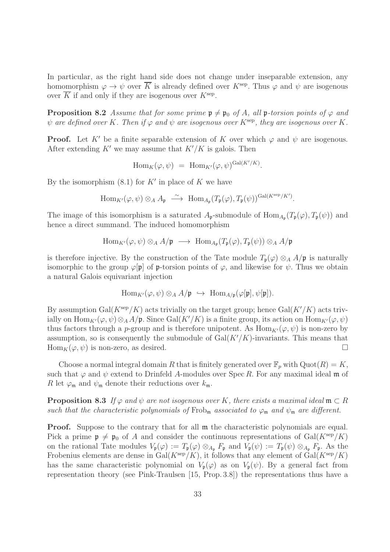In particular, as the right hand side does not change under inseparable extension, any homomorphism  $\varphi \to \psi$  over  $\overline{K}$  is already defined over  $K^{\text{sep}}$ . Thus  $\varphi$  and  $\psi$  are isogenous over  $\overline{K}$  if and only if they are isogenous over  $K^{\text{sep}}$ .

**Proposition 8.2** Assume that for some prime  $\mathfrak{p} \neq \mathfrak{p}_0$  of A, all  $\mathfrak{p}$ -torsion points of  $\varphi$  and  $\psi$  are defined over K. Then if  $\varphi$  and  $\psi$  are isogenous over K<sup>sep</sup>, they are isogenous over K.

**Proof.** Let K' be a finite separable extension of K over which  $\varphi$  and  $\psi$  are isogenous. After extending  $K'$  we may assume that  $K'/K$  is galois. Then

$$
\mathrm{Hom}_K(\varphi, \psi) = \mathrm{Hom}_{K'}(\varphi, \psi)^{\mathrm{Gal}(K'/K)}.
$$

By the isomorphism  $(8.1)$  for  $K'$  in place of K we have

$$
\operatorname{Hom}_{K'}(\varphi,\psi)\otimes_A A_{\mathfrak{p}}\ \stackrel{\sim}{\longrightarrow}\ \operatorname{Hom}_{A_{\mathfrak{p}}}(T_{\mathfrak{p}}(\varphi),T_{\mathfrak{p}}(\psi))^{\operatorname{Gal}(K^{\operatorname{sep}}/K')}.
$$

The image of this isomorphism is a saturated  $A_{\mathfrak{p}}$ -submodule of  $\text{Hom}_{A_{\mathfrak{p}}}(T_{\mathfrak{p}}(\varphi), T_{\mathfrak{p}}(\psi))$  and hence a direct summand. The induced homomorphism

$$
\text{Hom}_{K'}(\varphi,\psi)\otimes_A A/\mathfrak{p}\ \longrightarrow\ \text{Hom}_{A_{\mathfrak{p}}}(T_{\mathfrak{p}}(\varphi),T_{\mathfrak{p}}(\psi))\otimes_A A/\mathfrak{p}
$$

is therefore injective. By the construction of the Tate module  $T_p(\varphi) \otimes_A A/p$  is naturally isomorphic to the group  $\varphi[\mathfrak{p}]$  of p-torsion points of  $\varphi$ , and likewise for  $\psi$ . Thus we obtain a natural Galois equivariant injection

$$
\text{Hom}_{K'}(\varphi,\psi)\otimes_A A/\mathfrak{p}\ \hookrightarrow\ \text{Hom}_{A/\mathfrak{p}}(\varphi[\mathfrak{p}],\psi[\mathfrak{p}]).
$$

By assumption Gal( $K<sup>sep</sup>/K$ ) acts trivially on the target group; hence Gal( $K'/K$ ) acts trivially on  $\text{Hom}_{K'}(\varphi, \psi) \otimes_A A/\mathfrak{p}$ . Since Gal $(K'/K)$  is a finite group, its action on  $\text{Hom}_{K'}(\varphi, \psi)$ thus factors through a p-group and is therefore unipotent. As  $\text{Hom}_{K'}(\varphi, \psi)$  is non-zero by assumption, so is consequently the submodule of  $Gal(K'/K)$ -invariants. This means that  $\text{Hom}_K(\varphi, \psi)$  is non-zero, as desired.

Choose a normal integral domain R that is finitely generated over  $\mathbb{F}_p$  with  $\mathrm{Quot}(R) = K$ , such that  $\varphi$  and  $\psi$  extend to Drinfeld A-modules over Spec R. For any maximal ideal m of R let  $\varphi_m$  and  $\psi_m$  denote their reductions over  $k_m$ .

**Proposition 8.3** If  $\varphi$  and  $\psi$  are not isogenous over K, there exists a maximal ideal  $\mathfrak{m} \subset R$ such that the characteristic polynomials of Frob<sub>m</sub> associated to  $\varphi_m$  and  $\psi_m$  are different.

Proof. Suppose to the contrary that for all  $m$  the characteristic polynomials are equal. Pick a prime  $\mathfrak{p} \neq \mathfrak{p}_0$  of A and consider the continuous representations of Gal( $K^{\text{sep}}/K$ ) on the rational Tate modules  $V_{\mathfrak{p}}(\varphi) := T_{\mathfrak{p}}(\varphi) \otimes_{A_{\mathfrak{p}}} F_{\mathfrak{p}}$  and  $V_{\mathfrak{p}}(\psi) := T_{\mathfrak{p}}(\psi) \otimes_{A_{\mathfrak{p}}} F_{\mathfrak{p}}$ . As the Frobenius elements are dense in  $Gal(K^{\text{sep}}/K)$ , it follows that any element of  $Gal(K^{\text{sep}}/K)$ has the same characteristic polynomial on  $V_{\mathfrak{p}}(\varphi)$  as on  $V_{\mathfrak{p}}(\psi)$ . By a general fact from representation theory (see Pink-Traulsen [15, Prop. 3.8]) the representations thus have a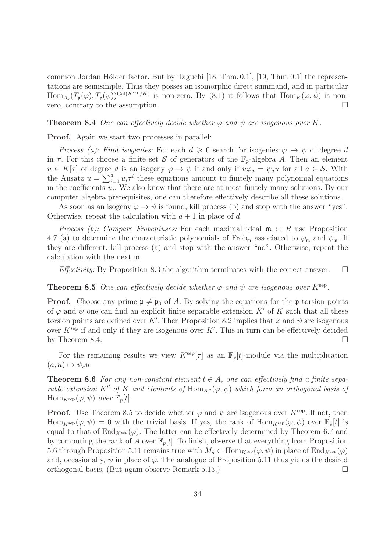common Jordan Hölder factor. But by Taguchi  $[18, Thm. 0.1]$ ,  $[19, Thm. 0.1]$  the representations are semisimple. Thus they posses an isomorphic direct summand, and in particular  $\text{Hom}_{A_{\mathfrak{p}}}(T_{\mathfrak{p}}(\varphi), T_{\mathfrak{p}}(\psi))^{\text{Gal}(K^{\text{sep}}/K)}$  is non-zero. By (8.1) it follows that  $\text{Hom}_K(\varphi, \psi)$  is nonzero, contrary to the assumption.

#### **Theorem 8.4** One can effectively decide whether  $\varphi$  and  $\psi$  are isogenous over K.

Proof. Again we start two processes in parallel:

Process (a): Find isogenies: For each  $d \geq 0$  search for isogenies  $\varphi \to \psi$  of degree d in  $\tau$ . For this choose a finite set S of generators of the  $\mathbb{F}_p$ -algebra A. Then an element  $u \in K[\tau]$  of degree d is an isogeny  $\varphi \to \psi$  if and only if  $u\varphi_a = \psi_a u$  for all  $a \in \mathcal{S}$ . With the Ansatz  $u = \sum_{i=0}^{d} u_i \tau^i$  these equations amount to finitely many polynomial equations in the coefficients  $u_i$ . We also know that there are at most finitely many solutions. By our computer algebra prerequisites, one can therefore effectively describe all these solutions.

As soon as an isogeny  $\varphi \to \psi$  is found, kill process (b) and stop with the answer "yes". Otherwise, repeat the calculation with  $d+1$  in place of d.

*Process (b): Compare Frobeniuses:* For each maximal ideal  $\mathfrak{m} \subset R$  use Proposition 4.7 (a) to determine the characteristic polynomials of Frob<sub>m</sub> associated to  $\varphi_m$  and  $\psi_m$ . If they are different, kill process (a) and stop with the answer "no". Otherwise, repeat the calculation with the next m.

*Effectivity:* By Proposition 8.3 the algorithm terminates with the correct answer.  $\Box$ 

#### **Theorem 8.5** One can effectively decide whether  $\varphi$  and  $\psi$  are isogenous over  $K^{\text{sep}}$ .

**Proof.** Choose any prime  $\mathfrak{p} \neq \mathfrak{p}_0$  of A. By solving the equations for the **p**-torsion points of  $\varphi$  and  $\psi$  one can find an explicit finite separable extension K' of K such that all these torsion points are defined over K'. Then Proposition 8.2 implies that  $\varphi$  and  $\psi$  are isogenous over  $K^{\text{sep}}$  if and only if they are isogenous over  $K'$ . This in turn can be effectively decided by Theorem 8.4.  $\Box$ 

For the remaining results we view  $K^{\text{sep}}[\tau]$  as an  $\mathbb{F}_p[t]$ -module via the multiplication  $(a, u) \mapsto \psi_a u.$ 

**Theorem 8.6** For any non-constant element  $t \in A$ , one can effectively find a finite separable extension K<sup>''</sup> of K and elements of  $\text{Hom}_{K''}(\varphi, \psi)$  which form an orthogonal basis of  $\text{Hom}_{K^{\text{sep}}}(\varphi, \psi)$  over  $\mathbb{F}_p[t]$ .

**Proof.** Use Theorem 8.5 to decide whether  $\varphi$  and  $\psi$  are isogenous over K<sup>sep</sup>. If not, then  $\text{Hom}_{K^{\text{sep}}}(\varphi, \psi) = 0$  with the trivial basis. If yes, the rank of  $\text{Hom}_{K^{\text{sep}}}(\varphi, \psi)$  over  $\mathbb{F}_n[t]$  is equal to that of  $\text{End}_{K^{\text{sep}}}(\varphi)$ . The latter can be effectively determined by Theorem 6.7 and by computing the rank of A over  $\mathbb{F}_p[t]$ . To finish, observe that everything from Proposition 5.6 through Proposition 5.11 remains true with  $M_d \subset \text{Hom}_{K^{\text{sep}}}(\varphi, \psi)$  in place of  $\text{End}_{K^{\text{sep}}}(\varphi)$ and, occasionally,  $\psi$  in place of  $\varphi$ . The analogue of Proposition 5.11 thus yields the desired orthogonal basis. (But again observe Remark 5.13.)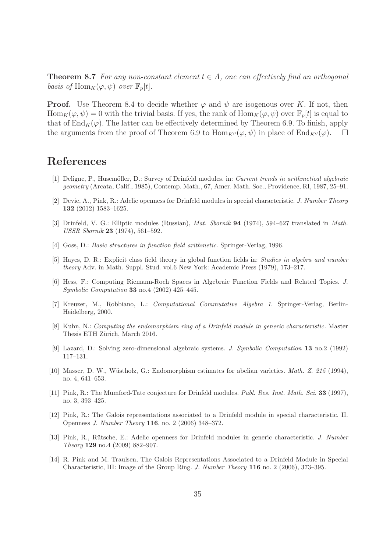**Theorem 8.7** For any non-constant element  $t \in A$ , one can effectively find an orthogonal basis of  $\text{Hom}_K(\varphi, \psi)$  over  $\mathbb{F}_p[t]$ .

**Proof.** Use Theorem 8.4 to decide whether  $\varphi$  and  $\psi$  are isogenous over K. If not, then  $\text{Hom}_K(\varphi, \psi) = 0$  with the trivial basis. If yes, the rank of  $\text{Hom}_K(\varphi, \psi)$  over  $\mathbb{F}_p[t]$  is equal to that of  $\text{End}_K(\varphi)$ . The latter can be effectively determined by Theorem 6.9. To finish, apply the arguments from the proof of Theorem 6.9 to  $\text{Hom}_{K''}(\varphi, \psi)$  in place of  $\text{End}_{K''}(\varphi)$ .  $\square$ 

# References

- [1] Deligne, P., Husemöller, D.: Survey of Drinfeld modules. in: Current trends in arithmetical algebraic geometry (Arcata, Calif., 1985), Contemp. Math., 67, Amer. Math. Soc., Providence, RI, 1987, 25–91.
- [2] Devic, A., Pink, R.: Adelic openness for Drinfeld modules in special characteristic. J. Number Theory 132 (2012) 1583–1625.
- [3] Drinfeld, V. G.: Elliptic modules (Russian), Mat. Sbornik 94 (1974), 594–627 translated in Math. USSR Sbornik 23 (1974), 561–592.
- [4] Goss, D.: Basic structures in function field arithmetic. Springer-Verlag, 1996.
- [5] Hayes, D. R.: Explicit class field theory in global function fields in: Studies in algebra and number theory Adv. in Math. Suppl. Stud. vol.6 New York: Academic Press (1979), 173–217.
- [6] Hess, F.: Computing Riemann-Roch Spaces in Algebraic Function Fields and Related Topics. J. Symbolic Computation 33 no.4 (2002) 425–445.
- [7] Kreuzer, M., Robbiano, L.: Computational Commutative Algebra 1. Springer-Verlag, Berlin-Heidelberg, 2000.
- [8] Kuhn, N.: Computing the endomorphism ring of a Drinfeld module in generic characteristic. Master Thesis ETH Zürich, March 2016.
- [9] Lazard, D.: Solving zero-dimensional algebraic systems. J. Symbolic Computation 13 no.2 (1992) 117–131.
- [10] Masser, D. W., Wüstholz, G.: Endomorphism estimates for abelian varieties. *Math. Z. 215* (1994), no. 4, 641–653.
- [11] Pink, R.: The Mumford-Tate conjecture for Drinfeld modules. Publ. Res. Inst. Math. Sci. 33 (1997), no. 3, 393–425.
- [12] Pink, R.: The Galois representations associated to a Drinfeld module in special characteristic. II. Openness J. Number Theory 116, no. 2 (2006) 348–372.
- [13] Pink, R., Rütsche, E.: Adelic openness for Drinfeld modules in generic characteristic. J. Number Theory 129 no.4 (2009) 882–907.
- [14] R. Pink and M. Traulsen, The Galois Representations Associated to a Drinfeld Module in Special Characteristic, III: Image of the Group Ring. J. Number Theory 116 no. 2 (2006), 373–395.